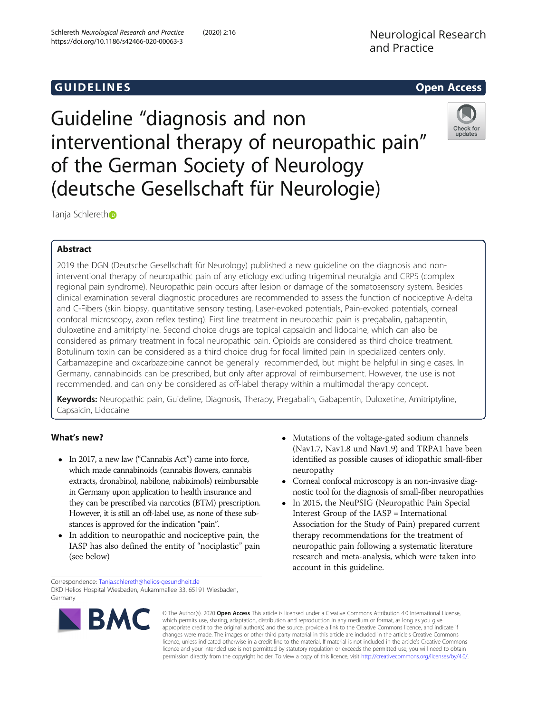## **GUIDELINES CONSERVATION CONSERVATION**

# Guideline "diagnosis and non interventional therapy of neuropathic pain" of the German Society of Neurology (deutsche Gesellschaft für Neurologie)



Tanja Schleretho

## Abstract

2019 the DGN (Deutsche Gesellschaft für Neurology) published a new guideline on the diagnosis and noninterventional therapy of neuropathic pain of any etiology excluding trigeminal neuralgia and CRPS (complex regional pain syndrome). Neuropathic pain occurs after lesion or damage of the somatosensory system. Besides clinical examination several diagnostic procedures are recommended to assess the function of nociceptive A-delta and C-Fibers (skin biopsy, quantitative sensory testing, Laser-evoked potentials, Pain-evoked potentials, corneal confocal microscopy, axon reflex testing). First line treatment in neuropathic pain is pregabalin, gabapentin, duloxetine and amitriptyline. Second choice drugs are topical capsaicin and lidocaine, which can also be considered as primary treatment in focal neuropathic pain. Opioids are considered as third choice treatment. Botulinum toxin can be considered as a third choice drug for focal limited pain in specialized centers only. Carbamazepine and oxcarbazepine cannot be generally recommended, but might be helpful in single cases. In Germany, cannabinoids can be prescribed, but only after approval of reimbursement. However, the use is not recommended, and can only be considered as off-label therapy within a multimodal therapy concept.

Keywords: Neuropathic pain, Guideline, Diagnosis, Therapy, Pregabalin, Gabapentin, Duloxetine, Amitriptyline, Capsaicin, Lidocaine

## What's new?

- In 2017, a new law ("Cannabis Act") came into force, which made cannabinoids (cannabis flowers, cannabis extracts, dronabinol, nabilone, nabiximols) reimbursable in Germany upon application to health insurance and they can be prescribed via narcotics (BTM) prescription. However, it is still an off-label use, as none of these substances is approved for the indication "pain".
- In addition to neuropathic and nociceptive pain, the IASP has also defined the entity of "nociplastic" pain (see below)
- Corneal confocal microscopy is an non-invasive diagnostic tool for the diagnosis of small-fiber neuropathies
- In 2015, the NeuPSIG (Neuropathic Pain Special Interest Group of the IASP = International Association for the Study of Pain) prepared current therapy recommendations for the treatment of neuropathic pain following a systematic literature research and meta-analysis, which were taken into account in this guideline.

Correspondence: [Tanja.schlereth@helios-gesundheit.de](mailto:Tanja.schlereth@helios-gesundheit.de) DKD Helios Hospital Wiesbaden, Aukammallee 33, 65191 Wiesbaden, Germany



© The Author(s). 2020 Open Access This article is licensed under a Creative Commons Attribution 4.0 International License, which permits use, sharing, adaptation, distribution and reproduction in any medium or format, as long as you give appropriate credit to the original author(s) and the source, provide a link to the Creative Commons licence, and indicate if changes were made. The images or other third party material in this article are included in the article's Creative Commons licence, unless indicated otherwise in a credit line to the material. If material is not included in the article's Creative Commons licence and your intended use is not permitted by statutory regulation or exceeds the permitted use, you will need to obtain permission directly from the copyright holder. To view a copy of this licence, visit [http://creativecommons.org/licenses/by/4.0/.](http://creativecommons.org/licenses/by/4.0/)

<sup>•</sup> Mutations of the voltage-gated sodium channels (Nav1.7, Nav1.8 und Nav1.9) and TRPA1 have been identified as possible causes of idiopathic small-fiber neuropathy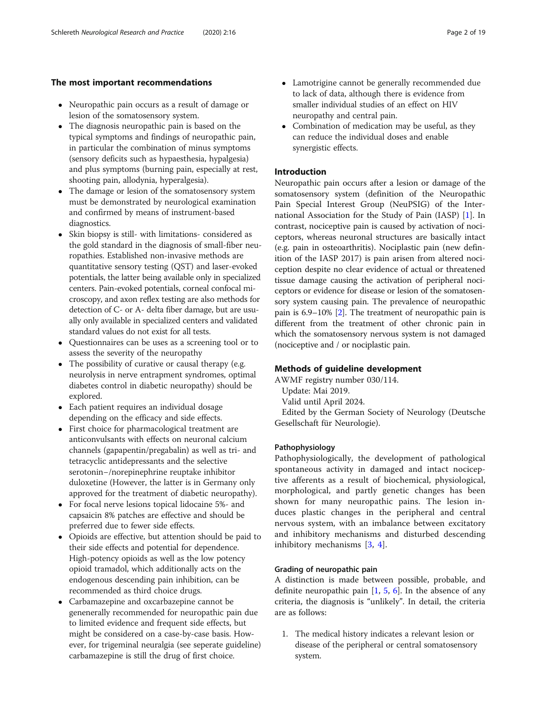#### The most important recommendations

- Neuropathic pain occurs as a result of damage or lesion of the somatosensory system.
- The diagnosis neuropathic pain is based on the typical symptoms and findings of neuropathic pain, in particular the combination of minus symptoms (sensory deficits such as hypaesthesia, hypalgesia) and plus symptoms (burning pain, especially at rest, shooting pain, allodynia, hyperalgesia).
- The damage or lesion of the somatosensory system must be demonstrated by neurological examination and confirmed by means of instrument-based diagnostics.
- Skin biopsy is still- with limitations- considered as the gold standard in the diagnosis of small-fiber neuropathies. Established non-invasive methods are quantitative sensory testing (QST) and laser-evoked potentials, the latter being available only in specialized centers. Pain-evoked potentials, corneal confocal microscopy, and axon reflex testing are also methods for detection of C- or A- delta fiber damage, but are usually only available in specialized centers and validated standard values do not exist for all tests.
- Questionnaires can be uses as a screening tool or to assess the severity of the neuropathy
- The possibility of curative or causal therapy (e.g. neurolysis in nerve entrapment syndromes, optimal diabetes control in diabetic neuropathy) should be explored.
- Each patient requires an individual dosage depending on the efficacy and side effects.
- First choice for pharmacological treatment are anticonvulsants with effects on neuronal calcium channels (gapapentin/pregabalin) as well as tri- and tetracyclic antidepressants and the selective serotonin−/norepinephrine reuptake inhibitor duloxetine (However, the latter is in Germany only approved for the treatment of diabetic neuropathy).
- For focal nerve lesions topical lidocaine 5%- and capsaicin 8% patches are effective and should be preferred due to fewer side effects.
- Opioids are effective, but attention should be paid to their side effects and potential for dependence. High-potency opioids as well as the low potency opioid tramadol, which additionally acts on the endogenous descending pain inhibition, can be recommended as third choice drugs.
- Carbamazepine and oxcarbazepine cannot be genenerally recommended for neuropathic pain due to limited evidence and frequent side effects, but might be considered on a case-by-case basis. However, for trigeminal neuralgia (see seperate guideline) carbamazepine is still the drug of first choice.
- Lamotrigine cannot be generally recommended due to lack of data, although there is evidence from smaller individual studies of an effect on HIV neuropathy and central pain.
- Combination of medication may be useful, as they can reduce the individual doses and enable synergistic effects.

### Introduction

Neuropathic pain occurs after a lesion or damage of the somatosensory system (definition of the Neuropathic Pain Special Interest Group (NeuPSIG) of the International Association for the Study of Pain (IASP) [\[1](#page-15-0)]. In contrast, nociceptive pain is caused by activation of nociceptors, whereas neuronal structures are basically intact (e.g. pain in osteoarthritis). Nociplastic pain (new definition of the IASP 2017) is pain arisen from altered nociception despite no clear evidence of actual or threatened tissue damage causing the activation of peripheral nociceptors or evidence for disease or lesion of the somatosensory system causing pain. The prevalence of neuropathic pain is 6.9–10% [[2\]](#page-15-0). The treatment of neuropathic pain is different from the treatment of other chronic pain in which the somatosensory nervous system is not damaged (nociceptive and / or nociplastic pain.

## Methods of guideline development

AWMF registry number 030/114. Update: Mai 2019. Valid until April 2024. Edited by the German Society of Neurology (Deutsche Gesellschaft für Neurologie).

#### Pathophysiology

Pathophysiologically, the development of pathological spontaneous activity in damaged and intact nociceptive afferents as a result of biochemical, physiological, morphological, and partly genetic changes has been shown for many neuropathic pains. The lesion induces plastic changes in the peripheral and central nervous system, with an imbalance between excitatory and inhibitory mechanisms and disturbed descending inhibitory mechanisms [[3,](#page-15-0) [4](#page-15-0)].

## Grading of neuropathic pain

A distinction is made between possible, probable, and definite neuropathic pain  $[1, 5, 6]$  $[1, 5, 6]$  $[1, 5, 6]$  $[1, 5, 6]$  $[1, 5, 6]$ . In the absence of any criteria, the diagnosis is "unlikely". In detail, the criteria are as follows:

1. The medical history indicates a relevant lesion or disease of the peripheral or central somatosensory system.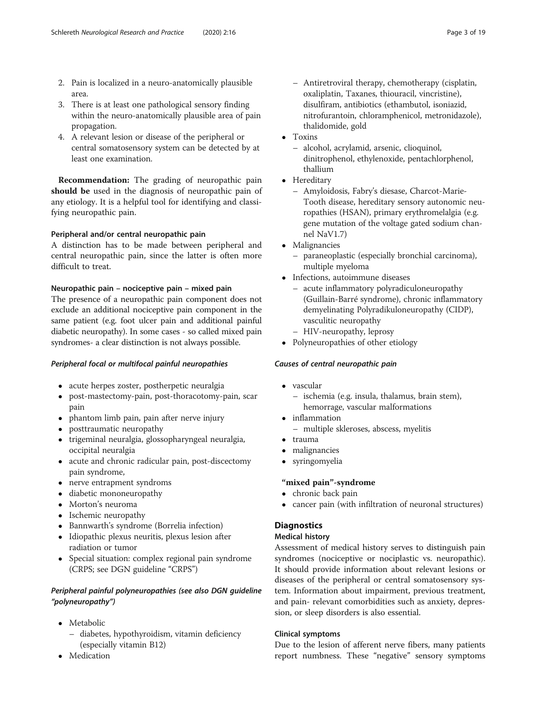- 2. Pain is localized in a neuro-anatomically plausible area.
- 3. There is at least one pathological sensory finding within the neuro-anatomically plausible area of pain propagation.
- 4. A relevant lesion or disease of the peripheral or central somatosensory system can be detected by at least one examination.

Recommendation: The grading of neuropathic pain should be used in the diagnosis of neuropathic pain of any etiology. It is a helpful tool for identifying and classifying neuropathic pain.

## Peripheral and/or central neuropathic pain

A distinction has to be made between peripheral and central neuropathic pain, since the latter is often more difficult to treat.

## Neuropathic pain – nociceptive pain – mixed pain

The presence of a neuropathic pain component does not exclude an additional nociceptive pain component in the same patient (e.g. foot ulcer pain and additional painful diabetic neuropathy). In some cases - so called mixed pain syndromes- a clear distinction is not always possible.

## Peripheral focal or multifocal painful neuropathies

- acute herpes zoster, postherpetic neuralgia
- post-mastectomy-pain, post-thoracotomy-pain, scar pain
- phantom limb pain, pain after nerve injury
- posttraumatic neuropathy
- trigeminal neuralgia, glossopharyngeal neuralgia, occipital neuralgia
- acute and chronic radicular pain, post-discectomy pain syndrome,
- nerve entrapment syndroms
- diabetic mononeuropathy
- Morton's neuroma
- Ischemic neuropathy
- Bannwarth's syndrome (Borrelia infection)
- Idiopathic plexus neuritis, plexus lesion after radiation or tumor
- Special situation: complex regional pain syndrome (CRPS; see DGN guideline "CRPS")

## Peripheral painful polyneuropathies (see also DGN guideline "polyneuropathy")

- Metabolic
	- diabetes, hypothyroidism, vitamin deficiency (especially vitamin B12)
- Medication
- Antiretroviral therapy, chemotherapy (cisplatin, oxaliplatin, Taxanes, thiouracil, vincristine), disulfiram, antibiotics (ethambutol, isoniazid, nitrofurantoin, chloramphenicol, metronidazole), thalidomide, gold
- Toxins
	- alcohol, acrylamid, arsenic, clioquinol, dinitrophenol, ethylenoxide, pentachlorphenol, thallium
- Hereditary
	- Amyloidosis, Fabry's diesase, Charcot-Marie-Tooth disease, hereditary sensory autonomic neuropathies (HSAN), primary erythromelalgia (e.g. gene mutation of the voltage gated sodium channel NaV1.7)
- Malignancies
	- paraneoplastic (especially bronchial carcinoma), multiple myeloma
- Infections, autoimmune diseases
	- acute inflammatory polyradiculoneuropathy (Guillain-Barré syndrome), chronic inflammatory demyelinating Polyradikuloneuropathy (CIDP), vasculitic neuropathy
	- HIV-neuropathy, leprosy
- Polyneuropathies of other etiology

## Causes of central neuropathic pain

- vascular
	- ischemia (e.g. insula, thalamus, brain stem), hemorrage, vascular malformations
- inflammation
	- multiple skleroses, abscess, myelitis
- trauma
- malignancies<br>• syringomyelia
- syringomyelia

## "mixed pain"-syndrome

- chronic back pain
- cancer pain (with infiltration of neuronal structures)

## **Diagnostics**

## Medical history

Assessment of medical history serves to distinguish pain syndromes (nociceptive or nociplastic vs. neuropathic). It should provide information about relevant lesions or diseases of the peripheral or central somatosensory system. Information about impairment, previous treatment, and pain- relevant comorbidities such as anxiety, depression, or sleep disorders is also essential.

## Clinical symptoms

Due to the lesion of afferent nerve fibers, many patients report numbness. These "negative" sensory symptoms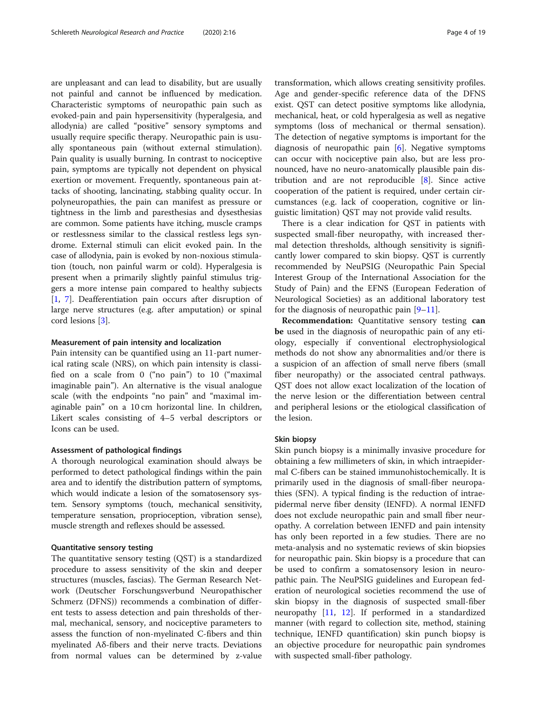are unpleasant and can lead to disability, but are usually not painful and cannot be influenced by medication. Characteristic symptoms of neuropathic pain such as evoked-pain and pain hypersensitivity (hyperalgesia, and allodynia) are called "positive" sensory symptoms and usually require specific therapy. Neuropathic pain is usually spontaneous pain (without external stimulation). Pain quality is usually burning. In contrast to nociceptive pain, symptoms are typically not dependent on physical exertion or movement. Frequently, spontaneous pain attacks of shooting, lancinating, stabbing quality occur. In polyneuropathies, the pain can manifest as pressure or tightness in the limb and paresthesias and dysesthesias are common. Some patients have itching, muscle cramps or restlessness similar to the classical restless legs syndrome. External stimuli can elicit evoked pain. In the case of allodynia, pain is evoked by non-noxious stimulation (touch, non painful warm or cold). Hyperalgesia is present when a primarily slightly painful stimulus triggers a more intense pain compared to healthy subjects [[1,](#page-15-0) [7\]](#page-15-0). Deafferentiation pain occurs after disruption of large nerve structures (e.g. after amputation) or spinal cord lesions [[3\]](#page-15-0).

#### Measurement of pain intensity and localization

Pain intensity can be quantified using an 11-part numerical rating scale (NRS), on which pain intensity is classified on a scale from 0 ("no pain") to 10 ("maximal imaginable pain"). An alternative is the visual analogue scale (with the endpoints "no pain" and "maximal imaginable pain" on a 10 cm horizontal line. In children, Likert scales consisting of 4–5 verbal descriptors or Icons can be used.

#### Assessment of pathological findings

A thorough neurological examination should always be performed to detect pathological findings within the pain area and to identify the distribution pattern of symptoms, which would indicate a lesion of the somatosensory system. Sensory symptoms (touch, mechanical sensitivity, temperature sensation, proprioception, vibration sense), muscle strength and reflexes should be assessed.

#### Quantitative sensory testing

The quantitative sensory testing (QST) is a standardized procedure to assess sensitivity of the skin and deeper structures (muscles, fascias). The German Research Network (Deutscher Forschungsverbund Neuropathischer Schmerz (DFNS)) recommends a combination of different tests to assess detection and pain thresholds of thermal, mechanical, sensory, and nociceptive parameters to assess the function of non-myelinated C-fibers and thin myelinated Aδ-fibers and their nerve tracts. Deviations from normal values can be determined by z-value transformation, which allows creating sensitivity profiles. Age and gender-specific reference data of the DFNS exist. QST can detect positive symptoms like allodynia, mechanical, heat, or cold hyperalgesia as well as negative symptoms (loss of mechanical or thermal sensation). The detection of negative symptoms is important for the diagnosis of neuropathic pain [[6\]](#page-15-0). Negative symptoms can occur with nociceptive pain also, but are less pronounced, have no neuro-anatomically plausible pain distribution and are not reproducible [[8\]](#page-15-0). Since active cooperation of the patient is required, under certain circumstances (e.g. lack of cooperation, cognitive or linguistic limitation) QST may not provide valid results.

There is a clear indication for QST in patients with suspected small-fiber neuropathy, with increased thermal detection thresholds, although sensitivity is significantly lower compared to skin biopsy. QST is currently recommended by NeuPSIG (Neuropathic Pain Special Interest Group of the International Association for the Study of Pain) and the EFNS (European Federation of Neurological Societies) as an additional laboratory test for the diagnosis of neuropathic pain [\[9](#page-15-0)–[11\]](#page-15-0).

Recommendation: Quantitative sensory testing can be used in the diagnosis of neuropathic pain of any etiology, especially if conventional electrophysiological methods do not show any abnormalities and/or there is a suspicion of an affection of small nerve fibers (small fiber neuropathy) or the associated central pathways. QST does not allow exact localization of the location of the nerve lesion or the differentiation between central and peripheral lesions or the etiological classification of the lesion.

#### Skin biopsy

Skin punch biopsy is a minimally invasive procedure for obtaining a few millimeters of skin, in which intraepidermal C-fibers can be stained immunohistochemically. It is primarily used in the diagnosis of small-fiber neuropathies (SFN). A typical finding is the reduction of intraepidermal nerve fiber density (IENFD). A normal IENFD does not exclude neuropathic pain and small fiber neuropathy. A correlation between IENFD and pain intensity has only been reported in a few studies. There are no meta-analysis and no systematic reviews of skin biopsies for neuropathic pain. Skin biopsy is a procedure that can be used to confirm a somatosensory lesion in neuropathic pain. The NeuPSIG guidelines and European federation of neurological societies recommend the use of skin biopsy in the diagnosis of suspected small-fiber neuropathy [[11](#page-15-0), [12\]](#page-15-0). If performed in a standardized manner (with regard to collection site, method, staining technique, IENFD quantification) skin punch biopsy is an objective procedure for neuropathic pain syndromes with suspected small-fiber pathology.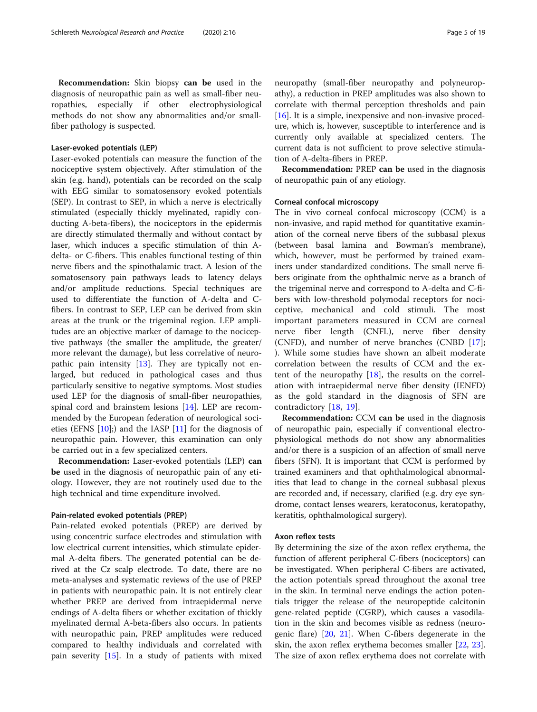Recommendation: Skin biopsy can be used in the diagnosis of neuropathic pain as well as small-fiber neuropathies, especially if other electrophysiological methods do not show any abnormalities and/or smallfiber pathology is suspected.

#### Laser-evoked potentials (LEP)

Laser-evoked potentials can measure the function of the nociceptive system objectively. After stimulation of the skin (e.g. hand), potentials can be recorded on the scalp with EEG similar to somatosensory evoked potentials (SEP). In contrast to SEP, in which a nerve is electrically stimulated (especially thickly myelinated, rapidly conducting A-beta-fibers), the nociceptors in the epidermis are directly stimulated thermally and without contact by laser, which induces a specific stimulation of thin Adelta- or C-fibers. This enables functional testing of thin nerve fibers and the spinothalamic tract. A lesion of the somatosensory pain pathways leads to latency delays and/or amplitude reductions. Special techniques are used to differentiate the function of A-delta and Cfibers. In contrast to SEP, LEP can be derived from skin areas at the trunk or the trigeminal region. LEP amplitudes are an objective marker of damage to the nociceptive pathways (the smaller the amplitude, the greater/ more relevant the damage), but less correlative of neuropathic pain intensity [[13\]](#page-15-0). They are typically not enlarged, but reduced in pathological cases and thus particularly sensitive to negative symptoms. Most studies used LEP for the diagnosis of small-fiber neuropathies, spinal cord and brainstem lesions [\[14](#page-15-0)]. LEP are recommended by the European federation of neurological societies (EFNS  $[10]$ ;) and the IASP  $[11]$  $[11]$  for the diagnosis of neuropathic pain. However, this examination can only be carried out in a few specialized centers.

Recommendation: Laser-evoked potentials (LEP) can be used in the diagnosis of neuropathic pain of any etiology. However, they are not routinely used due to the high technical and time expenditure involved.

#### Pain-related evoked potentials (PREP)

Pain-related evoked potentials (PREP) are derived by using concentric surface electrodes and stimulation with low electrical current intensities, which stimulate epidermal A-delta fibers. The generated potential can be derived at the Cz scalp electrode. To date, there are no meta-analyses and systematic reviews of the use of PREP in patients with neuropathic pain. It is not entirely clear whether PREP are derived from intraepidermal nerve endings of A-delta fibers or whether excitation of thickly myelinated dermal A-beta-fibers also occurs. In patients with neuropathic pain, PREP amplitudes were reduced compared to healthy individuals and correlated with pain severity [\[15](#page-15-0)]. In a study of patients with mixed neuropathy (small-fiber neuropathy and polyneuropathy), a reduction in PREP amplitudes was also shown to correlate with thermal perception thresholds and pain [[16\]](#page-15-0). It is a simple, inexpensive and non-invasive procedure, which is, however, susceptible to interference and is currently only available at specialized centers. The current data is not sufficient to prove selective stimulation of A-delta-fibers in PREP.

Recommendation: PREP can be used in the diagnosis of neuropathic pain of any etiology.

#### Corneal confocal microscopy

The in vivo corneal confocal microscopy (CCM) is a non-invasive, and rapid method for quantitative examination of the corneal nerve fibers of the subbasal plexus (between basal lamina and Bowman's membrane), which, however, must be performed by trained examiners under standardized conditions. The small nerve fibers originate from the ophthalmic nerve as a branch of the trigeminal nerve and correspond to A-delta and C-fibers with low-threshold polymodal receptors for nociceptive, mechanical and cold stimuli. The most important parameters measured in CCM are corneal nerve fiber length (CNFL), nerve fiber density (CNFD), and number of nerve branches (CNBD [\[17](#page-15-0)]; ). While some studies have shown an albeit moderate correlation between the results of CCM and the extent of the neuropathy  $[18]$  $[18]$ , the results on the correlation with intraepidermal nerve fiber density (IENFD) as the gold standard in the diagnosis of SFN are contradictory [[18,](#page-15-0) [19\]](#page-15-0).

Recommendation: CCM can be used in the diagnosis of neuropathic pain, especially if conventional electrophysiological methods do not show any abnormalities and/or there is a suspicion of an affection of small nerve fibers (SFN). It is important that CCM is performed by trained examiners and that ophthalmological abnormalities that lead to change in the corneal subbasal plexus are recorded and, if necessary, clarified (e.g. dry eye syndrome, contact lenses wearers, keratoconus, keratopathy, keratitis, ophthalmological surgery).

#### Axon reflex tests

By determining the size of the axon reflex erythema, the function of afferent peripheral C-fibers (nociceptors) can be investigated. When peripheral C-fibers are activated, the action potentials spread throughout the axonal tree in the skin. In terminal nerve endings the action potentials trigger the release of the neuropeptide calcitonin gene-related peptide (CGRP), which causes a vasodilation in the skin and becomes visible as redness (neurogenic flare) [[20,](#page-15-0) [21\]](#page-15-0). When C-fibers degenerate in the skin, the axon reflex erythema becomes smaller [\[22,](#page-15-0) [23](#page-15-0)]. The size of axon reflex erythema does not correlate with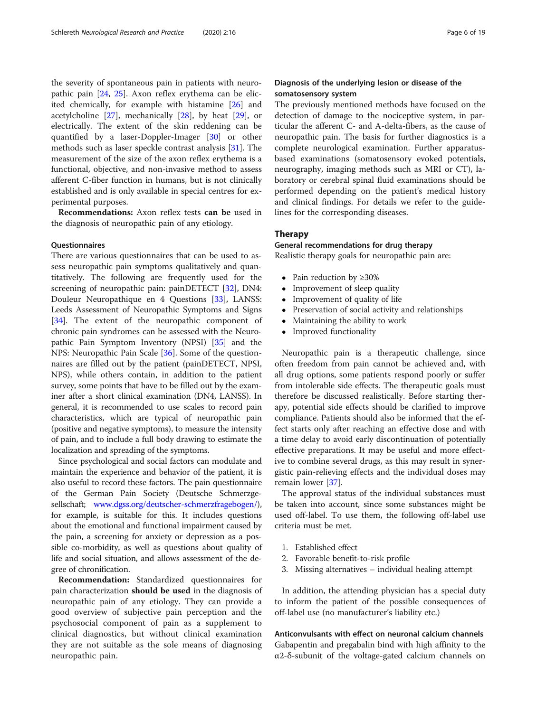the severity of spontaneous pain in patients with neuropathic pain [[24](#page-16-0), [25\]](#page-16-0). Axon reflex erythema can be elicited chemically, for example with histamine [[26\]](#page-16-0) and acetylcholine  $[27]$  $[27]$ , mechanically  $[28]$ , by heat  $[29]$  $[29]$ , or electrically. The extent of the skin reddening can be quantified by a laser-Doppler-Imager [\[30](#page-16-0)] or other methods such as laser speckle contrast analysis [\[31\]](#page-16-0). The measurement of the size of the axon reflex erythema is a functional, objective, and non-invasive method to assess afferent C-fiber function in humans, but is not clinically established and is only available in special centres for experimental purposes.

Recommendations: Axon reflex tests can be used in the diagnosis of neuropathic pain of any etiology.

#### Questionnaires

There are various questionnaires that can be used to assess neuropathic pain symptoms qualitatively and quantitatively. The following are frequently used for the screening of neuropathic pain: painDETECT [[32\]](#page-16-0), DN4: Douleur Neuropathique en 4 Questions [[33\]](#page-16-0), LANSS: Leeds Assessment of Neuropathic Symptoms and Signs [[34\]](#page-16-0). The extent of the neuropathic component of chronic pain syndromes can be assessed with the Neuropathic Pain Symptom Inventory (NPSI) [\[35\]](#page-16-0) and the NPS: Neuropathic Pain Scale [\[36](#page-16-0)]. Some of the questionnaires are filled out by the patient (painDETECT, NPSI, NPS), while others contain, in addition to the patient survey, some points that have to be filled out by the examiner after a short clinical examination (DN4, LANSS). In general, it is recommended to use scales to record pain characteristics, which are typical of neuropathic pain (positive and negative symptoms), to measure the intensity of pain, and to include a full body drawing to estimate the localization and spreading of the symptoms.

Since psychological and social factors can modulate and maintain the experience and behavior of the patient, it is also useful to record these factors. The pain questionnaire of the German Pain Society (Deutsche Schmerzgesellschaft; [www.dgss.org/deutscher-schmerzfragebogen/](http://www.dgss.org/deutscher-schmerzfragebogen/)), for example, is suitable for this. It includes questions about the emotional and functional impairment caused by the pain, a screening for anxiety or depression as a possible co-morbidity, as well as questions about quality of life and social situation, and allows assessment of the degree of chronification.

Recommendation: Standardized questionnaires for pain characterization should be used in the diagnosis of neuropathic pain of any etiology. They can provide a good overview of subjective pain perception and the psychosocial component of pain as a supplement to clinical diagnostics, but without clinical examination they are not suitable as the sole means of diagnosing neuropathic pain.

## Diagnosis of the underlying lesion or disease of the somatosensory system

The previously mentioned methods have focused on the detection of damage to the nociceptive system, in particular the afferent C- and A-delta-fibers, as the cause of neuropathic pain. The basis for further diagnostics is a complete neurological examination. Further apparatusbased examinations (somatosensory evoked potentials, neurography, imaging methods such as MRI or CT), laboratory or cerebral spinal fluid examinations should be performed depending on the patient's medical history and clinical findings. For details we refer to the guidelines for the corresponding diseases.

#### Therapy

## General recommendations for drug therapy

Realistic therapy goals for neuropathic pain are:

- Pain reduction by  $\geq 30\%$ <br>• Improvement of sleep  $\sigma$
- Improvement of sleep quality
- Improvement of quality of life
- Preservation of social activity and relationships<br>• Maintaining the ability to work
- Maintaining the ability to work
- Improved functionality

Neuropathic pain is a therapeutic challenge, since often freedom from pain cannot be achieved and, with all drug options, some patients respond poorly or suffer from intolerable side effects. The therapeutic goals must therefore be discussed realistically. Before starting therapy, potential side effects should be clarified to improve compliance. Patients should also be informed that the effect starts only after reaching an effective dose and with a time delay to avoid early discontinuation of potentially effective preparations. It may be useful and more effective to combine several drugs, as this may result in synergistic pain-relieving effects and the individual doses may remain lower [[37\]](#page-16-0).

The approval status of the individual substances must be taken into account, since some substances might be used off-label. To use them, the following off-label use criteria must be met.

- 1. Established effect
- 2. Favorable benefit-to-risk profile
- 3. Missing alternatives individual healing attempt

In addition, the attending physician has a special duty to inform the patient of the possible consequences of off-label use (no manufacturer's liability etc.)

Anticonvulsants with effect on neuronal calcium channels Gabapentin and pregabalin bind with high affinity to the α2-δ-subunit of the voltage-gated calcium channels on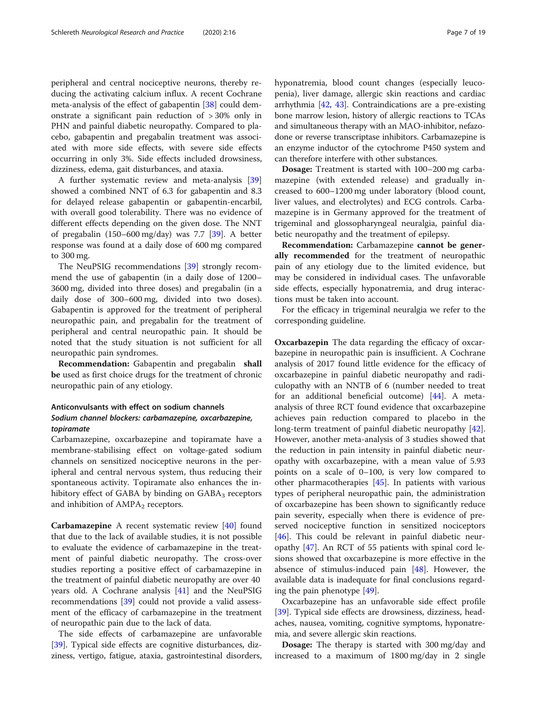peripheral and central nociceptive neurons, thereby reducing the activating calcium influx. A recent Cochrane meta-analysis of the effect of gabapentin [[38\]](#page-16-0) could demonstrate a significant pain reduction of > 30% only in PHN and painful diabetic neuropathy. Compared to placebo, gabapentin and pregabalin treatment was associated with more side effects, with severe side effects occurring in only 3%. Side effects included drowsiness, dizziness, edema, gait disturbances, and ataxia.

A further systematic review and meta-analysis [[39](#page-16-0)] showed a combined NNT of 6.3 for gabapentin and 8.3 for delayed release gabapentin or gabapentin-encarbil, with overall good tolerability. There was no evidence of different effects depending on the given dose. The NNT of pregabalin (150–600 mg/day) was 7.7 [\[39\]](#page-16-0). A better response was found at a daily dose of 600 mg compared to 300 mg.

The NeuPSIG recommendations [[39](#page-16-0)] strongly recommend the use of gabapentin (in a daily dose of 1200– 3600 mg, divided into three doses) and pregabalin (in a daily dose of 300–600 mg, divided into two doses). Gabapentin is approved for the treatment of peripheral neuropathic pain, and pregabalin for the treatment of peripheral and central neuropathic pain. It should be noted that the study situation is not sufficient for all neuropathic pain syndromes.

Recommendation: Gabapentin and pregabalin shall be used as first choice drugs for the treatment of chronic neuropathic pain of any etiology.

## Anticonvulsants with effect on sodium channels Sodium channel blockers: carbamazepine, oxcarbazepine, topiramate

Carbamazepine, oxcarbazepine and topiramate have a membrane-stabilising effect on voltage-gated sodium channels on sensitized nociceptive neurons in the peripheral and central nervous system, thus reducing their spontaneous activity. Topiramate also enhances the inhibitory effect of GABA by binding on  $GABA<sub>3</sub>$  receptors and inhibition of  $AMPA<sub>2</sub>$  receptors.

Carbamazepine A recent systematic review [[40](#page-16-0)] found that due to the lack of available studies, it is not possible to evaluate the evidence of carbamazepine in the treatment of painful diabetic neuropathy. The cross-over studies reporting a positive effect of carbamazepine in the treatment of painful diabetic neuropathy are over 40 years old. A Cochrane analysis [\[41\]](#page-16-0) and the NeuPSIG recommendations [\[39\]](#page-16-0) could not provide a valid assessment of the efficacy of carbamazepine in the treatment of neuropathic pain due to the lack of data.

The side effects of carbamazepine are unfavorable [[39\]](#page-16-0). Typical side effects are cognitive disturbances, dizziness, vertigo, fatigue, ataxia, gastrointestinal disorders, hyponatremia, blood count changes (especially leucopenia), liver damage, allergic skin reactions and cardiac arrhythmia [\[42,](#page-16-0) [43\]](#page-16-0). Contraindications are a pre-existing bone marrow lesion, history of allergic reactions to TCAs and simultaneous therapy with an MAO-inhibitor, nefazodone or reverse transcriptase inhibitors. Carbamazepine is an enzyme inductor of the cytochrome P450 system and can therefore interfere with other substances.

Dosage: Treatment is started with 100–200 mg carbamazepine (with extended release) and gradually increased to 600–1200 mg under laboratory (blood count, liver values, and electrolytes) and ECG controls. Carbamazepine is in Germany approved for the treatment of trigeminal and glossopharyngeal neuralgia, painful diabetic neuropathy and the treatment of epilepsy.

Recommendation: Carbamazepine cannot be generally recommended for the treatment of neuropathic pain of any etiology due to the limited evidence, but may be considered in individual cases. The unfavorable side effects, especially hyponatremia, and drug interactions must be taken into account.

For the efficacy in trigeminal neuralgia we refer to the corresponding guideline.

Oxcarbazepin The data regarding the efficacy of oxcarbazepine in neuropathic pain is insufficient. A Cochrane analysis of 2017 found little evidence for the efficacy of oxcarbazepine in painful diabetic neuropathy and radiculopathy with an NNTB of 6 (number needed to treat for an additional beneficial outcome) [[44\]](#page-16-0). A metaanalysis of three RCT found evidence that oxcarbazepine achieves pain reduction compared to placebo in the long-term treatment of painful diabetic neuropathy [\[42](#page-16-0)]. However, another meta-analysis of 3 studies showed that the reduction in pain intensity in painful diabetic neuropathy with oxcarbazepine, with a mean value of 5.93 points on a scale of 0–100, is very low compared to other pharmacotherapies [[45](#page-16-0)]. In patients with various types of peripheral neuropathic pain, the administration of oxcarbazepine has been shown to significantly reduce pain severity, especially when there is evidence of preserved nociceptive function in sensitized nociceptors [[46\]](#page-16-0). This could be relevant in painful diabetic neuropathy [\[47\]](#page-16-0). An RCT of 55 patients with spinal cord lesions showed that oxcarbazepine is more effective in the absence of stimulus-induced pain [[48\]](#page-16-0). However, the available data is inadequate for final conclusions regarding the pain phenotype [\[49](#page-16-0)].

Oxcarbazepine has an unfavorable side effect profile [[39\]](#page-16-0). Typical side effects are drowsiness, dizziness, headaches, nausea, vomiting, cognitive symptoms, hyponatremia, and severe allergic skin reactions.

Dosage: The therapy is started with 300 mg/day and increased to a maximum of 1800 mg/day in 2 single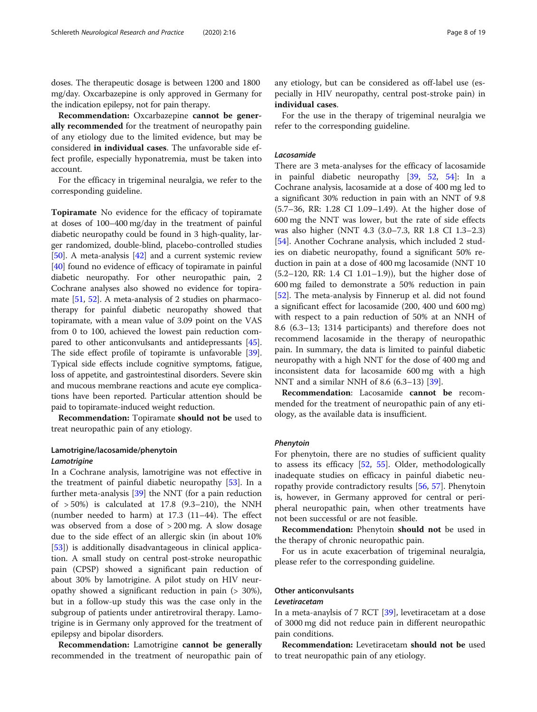doses. The therapeutic dosage is between 1200 and 1800 mg/day. Oxcarbazepine is only approved in Germany for the indication epilepsy, not for pain therapy.

Recommendation: Oxcarbazepine cannot be generally recommended for the treatment of neuropathy pain of any etiology due to the limited evidence, but may be considered in individual cases. The unfavorable side effect profile, especially hyponatremia, must be taken into account.

For the efficacy in trigeminal neuralgia, we refer to the corresponding guideline.

Topiramate No evidence for the efficacy of topiramate at doses of 100–400 mg/day in the treatment of painful diabetic neuropathy could be found in 3 high-quality, larger randomized, double-blind, placebo-controlled studies [[50](#page-16-0)]. A meta-analysis [\[42\]](#page-16-0) and a current systemic review [[40](#page-16-0)] found no evidence of efficacy of topiramate in painful diabetic neuropathy. For other neuropathic pain, 2 Cochrane analyses also showed no evidence for topiramate [[51](#page-16-0), [52](#page-16-0)]. A meta-analysis of 2 studies on pharmacotherapy for painful diabetic neuropathy showed that topiramate, with a mean value of 3.09 point on the VAS from 0 to 100, achieved the lowest pain reduction compared to other anticonvulsants and antidepressants [[45](#page-16-0)]. The side effect profile of topiramte is unfavorable [[39](#page-16-0)]. Typical side effects include cognitive symptoms, fatigue, loss of appetite, and gastrointestinal disorders. Severe skin and mucous membrane reactions and acute eye complications have been reported. Particular attention should be paid to topiramate-induced weight reduction.

Recommendation: Topiramate should not be used to treat neuropathic pain of any etiology.

## Lamotrigine/lacosamide/phenytoin Lamotrigine

In a Cochrane analysis, lamotrigine was not effective in the treatment of painful diabetic neuropathy [[53](#page-16-0)]. In a further meta-analysis [\[39](#page-16-0)] the NNT (for a pain reduction of  $>50\%$ ) is calculated at 17.8 (9.3-210), the NNH (number needed to harm) at 17.3 (11–44). The effect was observed from a dose of > 200 mg. A slow dosage due to the side effect of an allergic skin (in about 10% [[53\]](#page-16-0)) is additionally disadvantageous in clinical application. A small study on central post-stroke neuropathic pain (CPSP) showed a significant pain reduction of about 30% by lamotrigine. A pilot study on HIV neuropathy showed a significant reduction in pain (> 30%), but in a follow-up study this was the case only in the subgroup of patients under antiretroviral therapy. Lamotrigine is in Germany only approved for the treatment of epilepsy and bipolar disorders.

Recommendation: Lamotrigine cannot be generally recommended in the treatment of neuropathic pain of any etiology, but can be considered as off-label use (especially in HIV neuropathy, central post-stroke pain) in individual cases.

For the use in the therapy of trigeminal neuralgia we refer to the corresponding guideline.

#### Lacosamide

There are 3 meta-analyses for the efficacy of lacosamide in painful diabetic neuropathy [\[39](#page-16-0), [52](#page-16-0), [54](#page-16-0)]: In a Cochrane analysis, lacosamide at a dose of 400 mg led to a significant 30% reduction in pain with an NNT of 9.8 (5.7–36, RR: 1.28 CI 1.09–1.49). At the higher dose of 600 mg the NNT was lower, but the rate of side effects was also higher (NNT 4.3 (3.0–7.3, RR 1.8 CI 1.3–2.3) [[54\]](#page-16-0). Another Cochrane analysis, which included 2 studies on diabetic neuropathy, found a significant 50% reduction in pain at a dose of 400 mg lacosamide (NNT 10 (5.2–120, RR: 1.4 CI 1.01–1.9)), but the higher dose of 600 mg failed to demonstrate a 50% reduction in pain [[52\]](#page-16-0). The meta-analysis by Finnerup et al. did not found a significant effect for lacosamide (200, 400 und 600 mg) with respect to a pain reduction of 50% at an NNH of 8.6 (6.3–13; 1314 participants) and therefore does not recommend lacosamide in the therapy of neuropathic pain. In summary, the data is limited to painful diabetic neuropathy with a high NNT for the dose of 400 mg and inconsistent data for lacosamide 600 mg with a high NNT and a similar NNH of 8.6 (6.3–13) [[39](#page-16-0)].

Recommendation: Lacosamide cannot be recommended for the treatment of neuropathic pain of any etiology, as the available data is insufficient.

#### Phenytoin

For phenytoin, there are no studies of sufficient quality to assess its efficacy [[52](#page-16-0), [55\]](#page-16-0). Older, methodologically inadequate studies on efficacy in painful diabetic neuropathy provide contradictory results [[56,](#page-16-0) [57\]](#page-16-0). Phenytoin is, however, in Germany approved for central or peripheral neuropathic pain, when other treatments have not been successful or are not feasible.

Recommendation: Phenytoin should not be used in the therapy of chronic neuropathic pain.

For us in acute exacerbation of trigeminal neuralgia, please refer to the corresponding guideline.

#### Other anticonvulsants

#### Levetiracetam

In a meta-anaylsis of 7 RCT [[39](#page-16-0)], levetiracetam at a dose of 3000 mg did not reduce pain in different neuropathic pain conditions.

Recommendation: Levetiracetam should not be used to treat neuropathic pain of any etiology.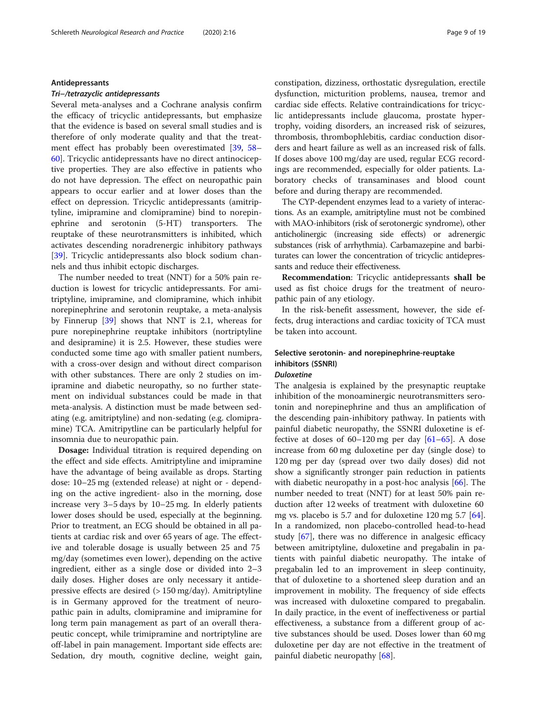#### Antidepressants

#### Tri−/tetrazyclic antidepressants

Several meta-analyses and a Cochrane analysis confirm the efficacy of tricyclic antidepressants, but emphasize that the evidence is based on several small studies and is therefore of only moderate quality and that the treatment effect has probably been overestimated [[39,](#page-16-0) [58](#page-16-0)– [60\]](#page-16-0). Tricyclic antidepressants have no direct antinociceptive properties. They are also effective in patients who do not have depression. The effect on neuropathic pain appears to occur earlier and at lower doses than the effect on depression. Tricyclic antidepressants (amitriptyline, imipramine and clomipramine) bind to norepinephrine and serotonin (5-HT) transporters. The reuptake of these neurotransmitters is inhibited, which activates descending noradrenergic inhibitory pathways [[39\]](#page-16-0). Tricyclic antidepressants also block sodium channels and thus inhibit ectopic discharges.

The number needed to treat (NNT) for a 50% pain reduction is lowest for tricyclic antidepressants. For amitriptyline, imipramine, and clomipramine, which inhibit norepinephrine and serotonin reuptake, a meta-analysis by Finnerup [\[39](#page-16-0)] shows that NNT is 2.1, whereas for pure norepinephrine reuptake inhibitors (nortriptyline and desipramine) it is 2.5. However, these studies were conducted some time ago with smaller patient numbers, with a cross-over design and without direct comparison with other substances. There are only 2 studies on imipramine and diabetic neuropathy, so no further statement on individual substances could be made in that meta-analysis. A distinction must be made between sedating (e.g. amitriptyline) and non-sedating (e.g. clomipramine) TCA. Amitripytline can be particularly helpful for insomnia due to neuropathic pain.

Dosage: Individual titration is required depending on the effect and side effects. Amitriptyline and imipramine have the advantage of being available as drops. Starting dose: 10–25 mg (extended release) at night or - depending on the active ingredient- also in the morning, dose increase very 3–5 days by 10–25 mg. In elderly patients lower doses should be used, especially at the beginning. Prior to treatment, an ECG should be obtained in all patients at cardiac risk and over 65 years of age. The effective and tolerable dosage is usually between 25 and 75 mg/day (sometimes even lower), depending on the active ingredient, either as a single dose or divided into 2–3 daily doses. Higher doses are only necessary it antidepressive effects are desired  $(> 150 \text{ mg/day})$ . Amitriptyline is in Germany approved for the treatment of neuropathic pain in adults, clomipramine and imipramine for long term pain management as part of an overall therapeutic concept, while trimipramine and nortriptyline are off-label in pain management. Important side effects are: Sedation, dry mouth, cognitive decline, weight gain, constipation, dizziness, orthostatic dysregulation, erectile dysfunction, micturition problems, nausea, tremor and cardiac side effects. Relative contraindications for tricyclic antidepressants include glaucoma, prostate hypertrophy, voiding disorders, an increased risk of seizures, thrombosis, thrombophlebitis, cardiac conduction disorders and heart failure as well as an increased risk of falls. If doses above 100 mg/day are used, regular ECG recordings are recommended, especially for older patients. Laboratory checks of transaminases and blood count before and during therapy are recommended.

The CYP-dependent enzymes lead to a variety of interactions. As an example, amitriptyline must not be combined with MAO-inhibitors (risk of serotonergic syndrome), other anticholinergic (increasing side effects) or adrenergic substances (risk of arrhythmia). Carbamazepine and barbiturates can lower the concentration of tricyclic antidepressants and reduce their effectiveness.

Recommendation: Tricyclic antidepressants shall be used as fist choice drugs for the treatment of neuropathic pain of any etiology.

In the risk-benefit assessment, however, the side effects, drug interactions and cardiac toxicity of TCA must be taken into account.

## Selective serotonin- and norepinephrine-reuptake inhibitors (SSNRI)

## Duloxetine

The analgesia is explained by the presynaptic reuptake inhibition of the monoaminergic neurotransmitters serotonin and norepinephrine and thus an amplification of the descending pain-inhibitory pathway. In patients with painful diabetic neuropathy, the SSNRI duloxetine is effective at doses of  $60-120$  mg per day  $[61-65]$  $[61-65]$  $[61-65]$  $[61-65]$  $[61-65]$ . A dose increase from 60 mg duloxetine per day (single dose) to 120 mg per day (spread over two daily doses) did not show a significantly stronger pain reduction in patients with diabetic neuropathy in a post-hoc analysis [\[66](#page-16-0)]. The number needed to treat (NNT) for at least 50% pain reduction after 12 weeks of treatment with duloxetine 60 mg vs. placebo is 5.7 and for duloxetine 120 mg 5.7 [\[64](#page-16-0)]. In a randomized, non placebo-controlled head-to-head study [[67\]](#page-16-0), there was no difference in analgesic efficacy between amitriptyline, duloxetine and pregabalin in patients with painful diabetic neuropathy. The intake of pregabalin led to an improvement in sleep continuity, that of duloxetine to a shortened sleep duration and an improvement in mobility. The frequency of side effects was increased with duloxetine compared to pregabalin. In daily practice, in the event of ineffectiveness or partial effectiveness, a substance from a different group of active substances should be used. Doses lower than 60 mg duloxetine per day are not effective in the treatment of painful diabetic neuropathy [\[68](#page-16-0)].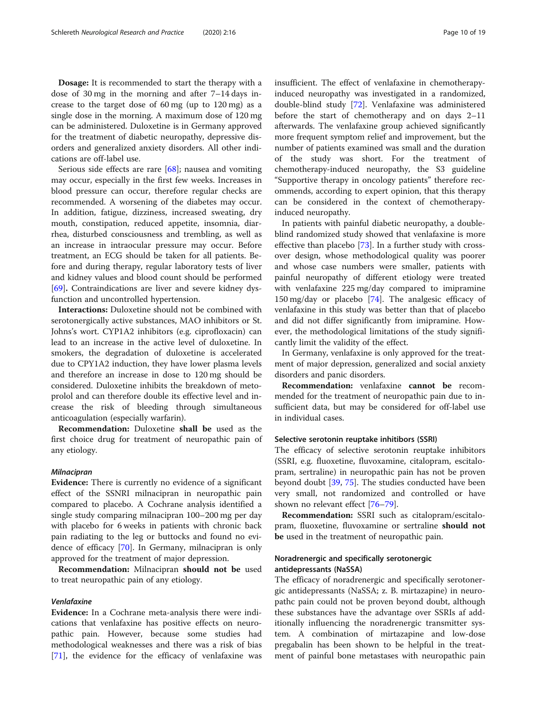Dosage: It is recommended to start the therapy with a dose of 30 mg in the morning and after 7–14 days increase to the target dose of 60 mg (up to 120 mg) as a single dose in the morning. A maximum dose of 120 mg can be administered. Duloxetine is in Germany approved for the treatment of diabetic neuropathy, depressive disorders and generalized anxiety disorders. All other indications are off-label use.

Serious side effects are rare [[68\]](#page-16-0); nausea and vomiting may occur, especially in the first few weeks. Increases in blood pressure can occur, therefore regular checks are recommended. A worsening of the diabetes may occur. In addition, fatigue, dizziness, increased sweating, dry mouth, constipation, reduced appetite, insomnia, diarrhea, disturbed consciousness and trembling, as well as an increase in intraocular pressure may occur. Before treatment, an ECG should be taken for all patients. Before and during therapy, regular laboratory tests of liver and kidney values and blood count should be performed [[69\]](#page-16-0). Contraindications are liver and severe kidney dysfunction and uncontrolled hypertension.

Interactions: Duloxetine should not be combined with serotonergically active substances, MAO inhibitors or St. Johns's wort. CYP1A2 inhibitors (e.g. ciprofloxacin) can lead to an increase in the active level of duloxetine. In smokers, the degradation of duloxetine is accelerated due to CPY1A2 induction, they have lower plasma levels and therefore an increase in dose to 120 mg should be considered. Duloxetine inhibits the breakdown of metoprolol and can therefore double its effective level and increase the risk of bleeding through simultaneous anticoagulation (especially warfarin).

Recommendation: Duloxetine shall be used as the first choice drug for treatment of neuropathic pain of any etiology.

#### Milnacipran

Evidence: There is currently no evidence of a significant effect of the SSNRI milnacipran in neuropathic pain compared to placebo. A Cochrane analysis identified a single study comparing milnacipran 100–200 mg per day with placebo for 6 weeks in patients with chronic back pain radiating to the leg or buttocks and found no evidence of efficacy [\[70\]](#page-16-0). In Germany, milnacipran is only approved for the treatment of major depression.

Recommendation: Milnacipran should not be used to treat neuropathic pain of any etiology.

#### Venlafaxine

Evidence: In a Cochrane meta-analysis there were indications that venlafaxine has positive effects on neuropathic pain. However, because some studies had methodological weaknesses and there was a risk of bias [[71\]](#page-16-0), the evidence for the efficacy of venlafaxine was insufficient. The effect of venlafaxine in chemotherapyinduced neuropathy was investigated in a randomized, double-blind study [\[72\]](#page-16-0). Venlafaxine was administered before the start of chemotherapy and on days 2–11 afterwards. The venlafaxine group achieved significantly more frequent symptom relief and improvement, but the number of patients examined was small and the duration of the study was short. For the treatment of chemotherapy-induced neuropathy, the S3 guideline "Supportive therapy in oncology patients" therefore recommends, according to expert opinion, that this therapy can be considered in the context of chemotherapyinduced neuropathy.

In patients with painful diabetic neuropathy, a doubleblind randomized study showed that venlafaxine is more effective than placebo [[73\]](#page-16-0). In a further study with crossover design, whose methodological quality was poorer and whose case numbers were smaller, patients with painful neuropathy of different etiology were treated with venlafaxine 225 mg/day compared to imipramine 150 mg/day or placebo [\[74\]](#page-16-0). The analgesic efficacy of venlafaxine in this study was better than that of placebo and did not differ significantly from imipramine. However, the methodological limitations of the study significantly limit the validity of the effect.

In Germany, venlafaxine is only approved for the treatment of major depression, generalized and social anxiety disorders and panic disorders.

Recommendation: venlafaxine cannot be recommended for the treatment of neuropathic pain due to insufficient data, but may be considered for off-label use in individual cases.

#### Selective serotonin reuptake inhitibors (SSRI)

The efficacy of selective serotonin reuptake inhibitors (SSRI, e.g. fluoxetine, fluvoxamine, citalopram, escitalopram, sertraline) in neuropathic pain has not be proven beyond doubt [[39,](#page-16-0) [75\]](#page-17-0). The studies conducted have been very small, not randomized and controlled or have shown no relevant effect [\[76](#page-17-0)–[79\]](#page-17-0).

Recommendation: SSRI such as citalopram/escitalopram, fluoxetine, fluvoxamine or sertraline should not be used in the treatment of neuropathic pain.

## Noradrenergic and specifically serotonergic antidepressants (NaSSA)

The efficacy of noradrenergic and specifically serotonergic antidepressants (NaSSA; z. B. mirtazapine) in neuropathc pain could not be proven beyond doubt, although these substances have the advantage over SSRIs af additionally influencing the noradrenergic transmitter system. A combination of mirtazapine and low-dose pregabalin has been shown to be helpful in the treatment of painful bone metastases with neuropathic pain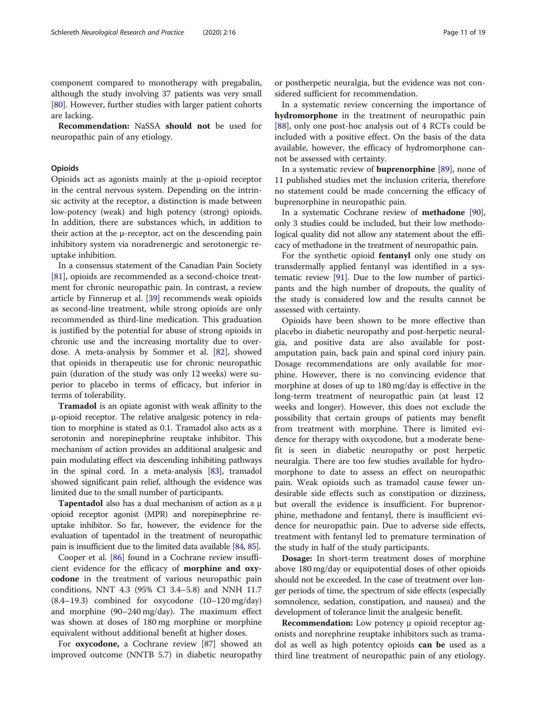component compared to monotherapy with pregabalin, although the study involving 37 patients was very small [[80\]](#page-17-0). However, further studies with larger patient cohorts are lacking.

Recommendation: NaSSA should not be used for neuropathic pain of any etiology.

#### **Opioids**

Opioids act as agonists mainly at the μ-opioid receptor in the central nervous system. Depending on the intrinsic activity at the receptor, a distinction is made between low-potency (weak) and high potency (strong) opioids. In addition, there are substances which, in addition to their action at the μ-receptor, act on the descending pain inhibitory system via noradrenergic and serotonergic reuptake inhibition.

In a consensus statement of the Canadian Pain Society [[81\]](#page-17-0), opioids are recommended as a second-choice treatment for chronic neuropathic pain. In contrast, a review article by Finnerup et al. [[39\]](#page-16-0) recommends weak opioids as second-line treatment, while strong opioids are only recommended as third-line medication. This graduation is justified by the potential for abuse of strong opioids in chronic use and the increasing mortality due to overdose. A meta-analysis by Sommer et al. [[82](#page-17-0)], showed that opioids in therapeutic use for chronic neuropathic pain (duration of the study was only 12 weeks) were superior to placebo in terms of efficacy, but inferior in terms of tolerability.

Tramadol is an opiate agonist with weak affinity to the μ-opioid receptor. The relative analgesic potency in relation to morphine is stated as 0.1. Tramadol also acts as a serotonin and norepinephrine reuptake inhibitor. This mechanism of action provides an additional analgesic and pain modulating effect via descending inhibiting pathways in the spinal cord. In a meta-analysis [[83](#page-17-0)], tramadol showed significant pain relief, although the evidence was limited due to the small number of participants.

Tapentadol also has a dual mechanism of action as a μ opioid receptor agonist (MPR) and norepinephrine reuptake inhibitor. So far, however, the evidence for the evaluation of tapentadol in the treatment of neuropathic pain is insufficient due to the limited data available [[84](#page-17-0), [85](#page-17-0)].

Cooper et al. [\[86](#page-17-0)] found in a Cochrane review insufficient evidence for the efficacy of morphine and oxycodone in the treatment of various neuropathic pain conditions, NNT 4.3 (95% CI 3.4–5.8) and NNH 11.7 (8.4–19.3) combined for oxycodone (10–120 mg/day) and morphine (90–240 mg/day). The maximum effect was shown at doses of 180 mg morphine or morphine equivalent without additional benefit at higher doses.

For oxycodone, a Cochrane review [[87](#page-17-0)] showed an improved outcome (NNTB 5.7) in diabetic neuropathy

or postherpetic neuralgia, but the evidence was not considered sufficient for recommendation.

In a systematic review concerning the importance of hydromorphone in the treatment of neuropathic pain [[88\]](#page-17-0), only one post-hoc analysis out of 4 RCTs could be included with a positive effect. On the basis of the data available, however, the efficacy of hydromorphone cannot be assessed with certainty.

In a systematic review of buprenorphine [[89\]](#page-17-0), none of 11 published studies met the inclusion criteria, therefore no statement could be made concerning the efficacy of buprenorphine in neuropathic pain.

In a systematic Cochrane review of **methadone** [[90](#page-17-0)], only 3 studies could be included, but their low methodological quality did not allow any statement about the efficacy of methadone in the treatment of neuropathic pain.

For the synthetic opioid fentanyl only one study on transdermally applied fentanyl was identified in a systematic review [[91\]](#page-17-0). Due to the low number of participants and the high number of dropouts, the quality of the study is considered low and the results cannot be assessed with certainty.

Opioids have been shown to be more effective than placebo in diabetic neuropathy and post-herpetic neuralgia, and positive data are also available for postamputation pain, back pain and spinal cord injury pain. Dosage recommendations are only available for morphine. However, there is no convincing evidence that morphine at doses of up to 180 mg/day is effective in the long-term treatment of neuropathic pain (at least 12 weeks and longer). However, this does not exclude the possibility that certain groups of patients may benefit from treatment with morphine. There is limited evidence for therapy with oxycodone, but a moderate benefit is seen in diabetic neuropathy or post herpetic neuralgia. There are too few studies available for hydromorphone to date to assess an effect on neuropathic pain. Weak opioids such as tramadol cause fewer undesirable side effects such as constipation or dizziness, but overall the evidence is insufficient. For buprenorphine, methadone and fentanyl, there is insufficient evidence for neuropathic pain. Due to adverse side effects, treatment with fentanyl led to premature termination of the study in half of the study participants.

Dosage: In short-term treatment doses of morphine above 180 mg/day or equipotential doses of other opioids should not be exceeded. In the case of treatment over longer periods of time, the spectrum of side effects (especially somnolence, sedation, constipation, and nausea) and the development of tolerance limit the analgesic benefit.

Recommendation: Low potency μ opioid receptor agonists and norephrine reuptake inhibitors such as tramadol as well as high potentcy opioids can be used as a third line treatment of neuropathic pain of any etiology.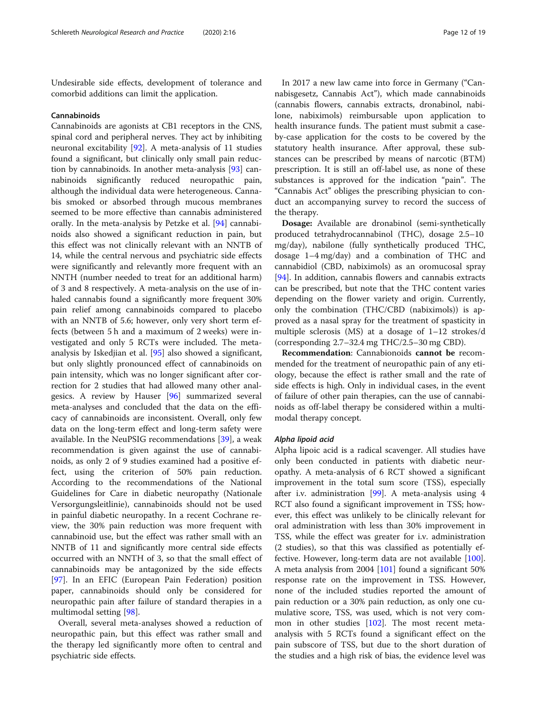Undesirable side effects, development of tolerance and comorbid additions can limit the application.

#### Cannabinoids

Cannabinoids are agonists at CB1 receptors in the CNS, spinal cord and peripheral nerves. They act by inhibiting neuronal excitability [\[92\]](#page-17-0). A meta-analysis of 11 studies found a significant, but clinically only small pain reduction by cannabinoids. In another meta-analysis [\[93](#page-17-0)] cannabinoids significantly reduced neuropathic pain, although the individual data were heterogeneous. Cannabis smoked or absorbed through mucous membranes seemed to be more effective than cannabis administered orally. In the meta-analysis by Petzke et al. [\[94\]](#page-17-0) cannabinoids also showed a significant reduction in pain, but this effect was not clinically relevant with an NNTB of 14, while the central nervous and psychiatric side effects were significantly and relevantly more frequent with an NNTH (number needed to treat for an additional harm) of 3 and 8 respectively. A meta-analysis on the use of inhaled cannabis found a significantly more frequent 30% pain relief among cannabinoids compared to placebo with an NNTB of 5.6; however, only very short term effects (between 5 h and a maximum of 2 weeks) were investigated and only 5 RCTs were included. The metaanalysis by Iskedjian et al. [[95\]](#page-17-0) also showed a significant, but only slightly pronounced effect of cannabinoids on pain intensity, which was no longer significant after correction for 2 studies that had allowed many other analgesics. A review by Hauser [[96\]](#page-17-0) summarized several meta-analyses and concluded that the data on the efficacy of cannabinoids are inconsistent. Overall, only few data on the long-term effect and long-term safety were available. In the NeuPSIG recommendations [[39](#page-16-0)], a weak recommendation is given against the use of cannabinoids, as only 2 of 9 studies examined had a positive effect, using the criterion of 50% pain reduction. According to the recommendations of the National Guidelines for Care in diabetic neuropathy (Nationale Versorgungsleitlinie), cannabinoids should not be used in painful diabetic neuropathy. In a recent Cochrane review, the 30% pain reduction was more frequent with cannabinoid use, but the effect was rather small with an NNTB of 11 and significantly more central side effects occurred with an NNTH of 3, so that the small effect of cannabinoids may be antagonized by the side effects [[97\]](#page-17-0). In an EFIC (European Pain Federation) position paper, cannabinoids should only be considered for neuropathic pain after failure of standard therapies in a multimodal setting [\[98](#page-17-0)].

Overall, several meta-analyses showed a reduction of neuropathic pain, but this effect was rather small and the therapy led significantly more often to central and psychiatric side effects.

In 2017 a new law came into force in Germany ("Cannabisgesetz, Cannabis Act"), which made cannabinoids (cannabis flowers, cannabis extracts, dronabinol, nabilone, nabiximols) reimbursable upon application to health insurance funds. The patient must submit a caseby-case application for the costs to be covered by the statutory health insurance. After approval, these substances can be prescribed by means of narcotic (BTM) prescription. It is still an off-label use, as none of these substances is approved for the indication "pain". The "Cannabis Act" obliges the prescribing physician to conduct an accompanying survey to record the success of the therapy.

Dosage: Available are dronabinol (semi-synthetically produced tetrahydrocannabinol (THC), dosage 2.5–10 mg/day), nabilone (fully synthetically produced THC, dosage 1–4 mg/day) and a combination of THC and cannabidiol (CBD, nabiximols) as an oromucosal spray [[94\]](#page-17-0). In addition, cannabis flowers and cannabis extracts can be prescribed, but note that the THC content varies depending on the flower variety and origin. Currently, only the combination (THC/CBD (nabiximols)) is approved as a nasal spray for the treatment of spasticity in multiple sclerosis (MS) at a dosage of 1–12 strokes/d (corresponding 2.7–32.4 mg THC/2.5–30 mg CBD).

Recommendation: Cannabionoids cannot be recommended for the treatment of neuropathic pain of any etiology, because the effect is rather small and the rate of side effects is high. Only in individual cases, in the event of failure of other pain therapies, can the use of cannabinoids as off-label therapy be considered within a multimodal therapy concept.

#### Alpha lipoid acid

Alpha lipoic acid is a radical scavenger. All studies have only been conducted in patients with diabetic neuropathy. A meta-analysis of 6 RCT showed a significant improvement in the total sum score (TSS), especially after i.v. administration [\[99](#page-17-0)]. A meta-analysis using 4 RCT also found a significant improvement in TSS; however, this effect was unlikely to be clinically relevant for oral administration with less than 30% improvement in TSS, while the effect was greater for i.v. administration (2 studies), so that this was classified as potentially effective. However, long-term data are not available [[100](#page-17-0)]. A meta analysis from 2004 [\[101](#page-17-0)] found a significant 50% response rate on the improvement in TSS. However, none of the included studies reported the amount of pain reduction or a 30% pain reduction, as only one cumulative score, TSS, was used, which is not very com-mon in other studies [[102](#page-17-0)]. The most recent metaanalysis with 5 RCTs found a significant effect on the pain subscore of TSS, but due to the short duration of the studies and a high risk of bias, the evidence level was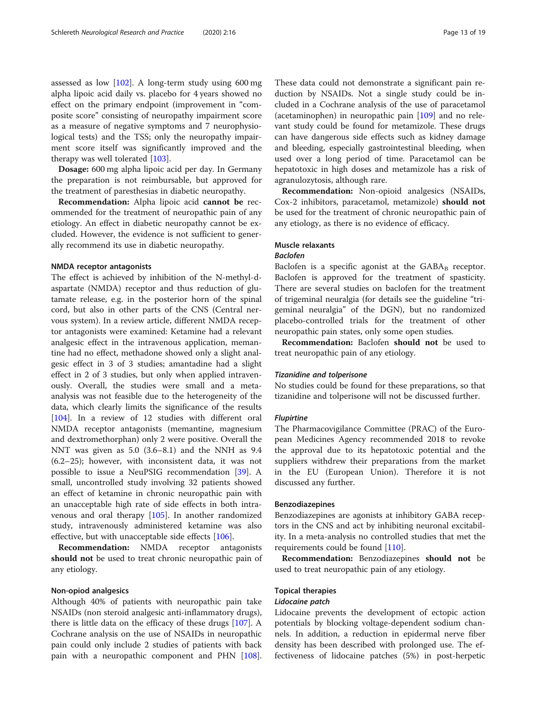assessed as low [[102](#page-17-0)]. A long-term study using 600 mg alpha lipoic acid daily vs. placebo for 4 years showed no effect on the primary endpoint (improvement in "composite score" consisting of neuropathy impairment score as a measure of negative symptoms and 7 neurophysiological tests) and the TSS; only the neuropathy impairment score itself was significantly improved and the therapy was well tolerated [[103](#page-17-0)].

Dosage: 600 mg alpha lipoic acid per day. In Germany the preparation is not reimbursable, but approved for the treatment of paresthesias in diabetic neuropathy.

Recommendation: Alpha lipoic acid cannot be recommended for the treatment of neuropathic pain of any etiology. An effect in diabetic neuropathy cannot be excluded. However, the evidence is not sufficient to generally recommend its use in diabetic neuropathy.

#### NMDA receptor antagonists

The effect is achieved by inhibition of the N-methyl-daspartate (NMDA) receptor and thus reduction of glutamate release, e.g. in the posterior horn of the spinal cord, but also in other parts of the CNS (Central nervous system). In a review article, different NMDA receptor antagonists were examined: Ketamine had a relevant analgesic effect in the intravenous application, memantine had no effect, methadone showed only a slight analgesic effect in 3 of 3 studies; amantadine had a slight effect in 2 of 3 studies, but only when applied intravenously. Overall, the studies were small and a metaanalysis was not feasible due to the heterogeneity of the data, which clearly limits the significance of the results [[104\]](#page-17-0). In a review of 12 studies with different oral NMDA receptor antagonists (memantine, magnesium and dextromethorphan) only 2 were positive. Overall the NNT was given as 5.0 (3.6–8.1) and the NNH as 9.4 (6.2–25); however, with inconsistent data, it was not possible to issue a NeuPSIG recommendation [\[39](#page-16-0)]. A small, uncontrolled study involving 32 patients showed an effect of ketamine in chronic neuropathic pain with an unacceptable high rate of side effects in both intravenous and oral therapy [\[105\]](#page-17-0). In another randomized study, intravenously administered ketamine was also effective, but with unacceptable side effects [[106](#page-17-0)].

Recommendation: NMDA receptor antagonists should not be used to treat chronic neuropathic pain of any etiology.

#### Non-opiod analgesics

Although 40% of patients with neuropathic pain take NSAIDs (non steroid analgesic anti-inflammatory drugs), there is little data on the efficacy of these drugs [\[107](#page-17-0)]. A Cochrane analysis on the use of NSAIDs in neuropathic pain could only include 2 studies of patients with back pain with a neuropathic component and PHN [\[108](#page-17-0)].

These data could not demonstrate a significant pain reduction by NSAIDs. Not a single study could be included in a Cochrane analysis of the use of paracetamol (acetaminophen) in neuropathic pain  $[109]$  $[109]$  $[109]$  and no relevant study could be found for metamizole. These drugs can have dangerous side effects such as kidney damage and bleeding, especially gastrointestinal bleeding, when used over a long period of time. Paracetamol can be hepatotoxic in high doses and metamizole has a risk of agranulozytosis, although rare.

Recommendation: Non-opioid analgesics (NSAIDs, Cox-2 inhibitors, paracetamol, metamizole) should not be used for the treatment of chronic neuropathic pain of any etiology, as there is no evidence of efficacy.

### Muscle relaxants

#### Baclofen

Baclofen is a specific agonist at the  $GABA_B$  receptor. Baclofen is approved for the treatment of spasticity. There are several studies on baclofen for the treatment of trigeminal neuralgia (for details see the guideline "trigeminal neuralgia" of the DGN), but no randomized placebo-controlled trials for the treatment of other neuropathic pain states, only some open studies.

Recommendation: Baclofen should not be used to treat neuropathic pain of any etiology.

#### Tizanidine and tolperisone

No studies could be found for these preparations, so that tizanidine and tolperisone will not be discussed further.

#### Flupirtine

The Pharmacovigilance Committee (PRAC) of the European Medicines Agency recommended 2018 to revoke the approval due to its hepatotoxic potential and the suppliers withdrew their preparations from the market in the EU (European Union). Therefore it is not discussed any further.

#### Benzodiazepines

Benzodiazepines are agonists at inhibitory GABA receptors in the CNS and act by inhibiting neuronal excitability. In a meta-analysis no controlled studies that met the requirements could be found [[110\]](#page-17-0).

Recommendation: Benzodiazepines should not be used to treat neuropathic pain of any etiology.

#### Topical therapies

#### Lidocaine patch

Lidocaine prevents the development of ectopic action potentials by blocking voltage-dependent sodium channels. In addition, a reduction in epidermal nerve fiber density has been described with prolonged use. The effectiveness of lidocaine patches (5%) in post-herpetic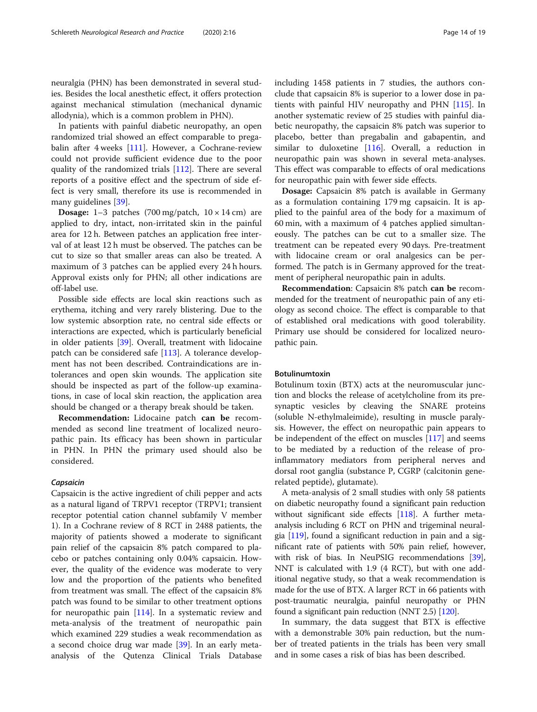neuralgia (PHN) has been demonstrated in several studies. Besides the local anesthetic effect, it offers protection against mechanical stimulation (mechanical dynamic allodynia), which is a common problem in PHN).

In patients with painful diabetic neuropathy, an open randomized trial showed an effect comparable to pregabalin after 4 weeks [[111\]](#page-17-0). However, a Cochrane-review could not provide sufficient evidence due to the poor quality of the randomized trials [\[112\]](#page-17-0). There are several reports of a positive effect and the spectrum of side effect is very small, therefore its use is recommended in many guidelines [\[39\]](#page-16-0).

**Dosage:** 1–3 patches  $(700 \text{ mg/patch}, 10 \times 14 \text{ cm})$  are applied to dry, intact, non-irritated skin in the painful area for 12 h. Between patches an application free interval of at least 12 h must be observed. The patches can be cut to size so that smaller areas can also be treated. A maximum of 3 patches can be applied every 24 h hours. Approval exists only for PHN; all other indications are off-label use.

Possible side effects are local skin reactions such as erythema, itching and very rarely blistering. Due to the low systemic absorption rate, no central side effects or interactions are expected, which is particularly beneficial in older patients [[39\]](#page-16-0). Overall, treatment with lidocaine patch can be considered safe [[113](#page-17-0)]. A tolerance development has not been described. Contraindications are intolerances and open skin wounds. The application site should be inspected as part of the follow-up examinations, in case of local skin reaction, the application area should be changed or a therapy break should be taken.

Recommendation: Lidocaine patch can be recommended as second line treatment of localized neuropathic pain. Its efficacy has been shown in particular in PHN. In PHN the primary used should also be considered.

#### Capsaicin

Capsaicin is the active ingredient of chili pepper and acts as a natural ligand of TRPV1 receptor (TRPV1; transient receptor potential cation channel subfamily V member 1). In a Cochrane review of 8 RCT in 2488 patients, the majority of patients showed a moderate to significant pain relief of the capsaicin 8% patch compared to placebo or patches containing only 0.04% capsaicin. However, the quality of the evidence was moderate to very low and the proportion of the patients who benefited from treatment was small. The effect of the capsaicin 8% patch was found to be similar to other treatment options for neuropathic pain [\[114](#page-17-0)]. In a systematic review and meta-analysis of the treatment of neuropathic pain which examined 229 studies a weak recommendation as a second choice drug war made [\[39](#page-16-0)]. In an early metaanalysis of the Qutenza Clinical Trials Database including 1458 patients in 7 studies, the authors conclude that capsaicin 8% is superior to a lower dose in patients with painful HIV neuropathy and PHN [[115](#page-17-0)]. In another systematic review of 25 studies with painful diabetic neuropathy, the capsaicin 8% patch was superior to placebo, better than pregabalin and gabapentin, and similar to duloxetine [\[116](#page-17-0)]. Overall, a reduction in neuropathic pain was shown in several meta-analyses. This effect was comparable to effects of oral medications for neuropathic pain with fewer side effects.

Dosage: Capsaicin 8% patch is available in Germany as a formulation containing 179 mg capsaicin. It is applied to the painful area of the body for a maximum of 60 min, with a maximum of 4 patches applied simultaneously. The patches can be cut to a smaller size. The treatment can be repeated every 90 days. Pre-treatment with lidocaine cream or oral analgesics can be performed. The patch is in Germany approved for the treatment of peripheral neuropathic pain in adults.

Recommendation: Capsaicin 8% patch can be recommended for the treatment of neuropathic pain of any etiology as second choice. The effect is comparable to that of established oral medications with good tolerability. Primary use should be considered for localized neuropathic pain.

#### Botulinumtoxin

Botulinum toxin (BTX) acts at the neuromuscular junction and blocks the release of acetylcholine from its presynaptic vesicles by cleaving the SNARE proteins (soluble N-ethylmaleimide), resulting in muscle paralysis. However, the effect on neuropathic pain appears to be independent of the effect on muscles [\[117\]](#page-17-0) and seems to be mediated by a reduction of the release of proinflammatory mediators from peripheral nerves and dorsal root ganglia (substance P, CGRP (calcitonin generelated peptide), glutamate).

A meta-analysis of 2 small studies with only 58 patients on diabetic neuropathy found a significant pain reduction without significant side effects [[118](#page-17-0)]. A further metaanalysis including 6 RCT on PHN and trigeminal neuralgia [[119](#page-17-0)], found a significant reduction in pain and a significant rate of patients with 50% pain relief, however, with risk of bias. In NeuPSIG recommendations [[39](#page-16-0)], NNT is calculated with 1.9 (4 RCT), but with one additional negative study, so that a weak recommendation is made for the use of BTX. A larger RCT in 66 patients with post-traumatic neuralgia, painful neuropathy or PHN found a significant pain reduction (NNT 2.5) [[120](#page-17-0)].

In summary, the data suggest that BTX is effective with a demonstrable 30% pain reduction, but the number of treated patients in the trials has been very small and in some cases a risk of bias has been described.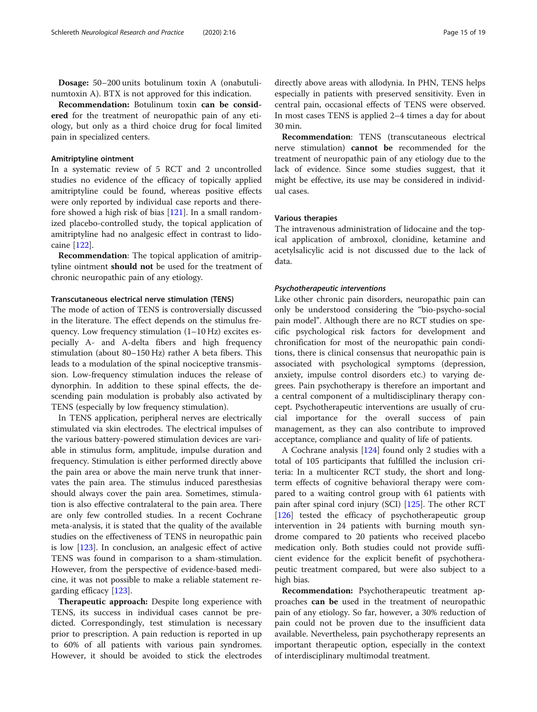Dosage: 50–200 units botulinum toxin A (onabutulinumtoxin A). BTX is not approved for this indication.

Recommendation: Botulinum toxin can be considered for the treatment of neuropathic pain of any etiology, but only as a third choice drug for focal limited pain in specialized centers.

#### Amitriptyline ointment

In a systematic review of 5 RCT and 2 uncontrolled studies no evidence of the efficacy of topically applied amitriptyline could be found, whereas positive effects were only reported by individual case reports and therefore showed a high risk of bias [\[121](#page-17-0)]. In a small randomized placebo-controlled study, the topical application of amitriptyline had no analgesic effect in contrast to lidocaine [[122\]](#page-17-0).

Recommendation: The topical application of amitriptyline ointment should not be used for the treatment of chronic neuropathic pain of any etiology.

#### Transcutaneous electrical nerve stimulation (TENS)

The mode of action of TENS is controversially discussed in the literature. The effect depends on the stimulus frequency. Low frequency stimulation (1–10 Hz) excites especially A- and A-delta fibers and high frequency stimulation (about 80–150 Hz) rather A beta fibers. This leads to a modulation of the spinal nociceptive transmission. Low-frequency stimulation induces the release of dynorphin. In addition to these spinal effects, the descending pain modulation is probably also activated by TENS (especially by low frequency stimulation).

In TENS application, peripheral nerves are electrically stimulated via skin electrodes. The electrical impulses of the various battery-powered stimulation devices are variable in stimulus form, amplitude, impulse duration and frequency. Stimulation is either performed directly above the pain area or above the main nerve trunk that innervates the pain area. The stimulus induced paresthesias should always cover the pain area. Sometimes, stimulation is also effective contralateral to the pain area. There are only few controlled studies. In a recent Cochrane meta-analysis, it is stated that the quality of the available studies on the effectiveness of TENS in neuropathic pain is low [\[123](#page-17-0)]. In conclusion, an analgesic effect of active TENS was found in comparison to a sham-stimulation. However, from the perspective of evidence-based medicine, it was not possible to make a reliable statement regarding efficacy [[123](#page-17-0)].

Therapeutic approach: Despite long experience with TENS, its success in individual cases cannot be predicted. Correspondingly, test stimulation is necessary prior to prescription. A pain reduction is reported in up to 60% of all patients with various pain syndromes. However, it should be avoided to stick the electrodes directly above areas with allodynia. In PHN, TENS helps especially in patients with preserved sensitivity. Even in central pain, occasional effects of TENS were observed. In most cases TENS is applied 2–4 times a day for about 30 min.

Recommendation: TENS (transcutaneous electrical nerve stimulation) cannot be recommended for the treatment of neuropathic pain of any etiology due to the lack of evidence. Since some studies suggest, that it might be effective, its use may be considered in individual cases.

#### Various therapies

The intravenous administration of lidocaine and the topical application of ambroxol, clonidine, ketamine and acetylsalicylic acid is not discussed due to the lack of data.

#### Psychotherapeutic interventions

Like other chronic pain disorders, neuropathic pain can only be understood considering the "bio-psycho-social pain model". Although there are no RCT studies on specific psychological risk factors for development and chronification for most of the neuropathic pain conditions, there is clinical consensus that neuropathic pain is associated with psychological symptoms (depression, anxiety, impulse control disorders etc.) to varying degrees. Pain psychotherapy is therefore an important and a central component of a multidisciplinary therapy concept. Psychotherapeutic interventions are usually of crucial importance for the overall success of pain management, as they can also contribute to improved acceptance, compliance and quality of life of patients.

A Cochrane analysis [[124](#page-17-0)] found only 2 studies with a total of 105 participants that fulfilled the inclusion criteria: In a multicenter RCT study, the short and longterm effects of cognitive behavioral therapy were compared to a waiting control group with 61 patients with pain after spinal cord injury (SCI) [\[125](#page-17-0)]. The other RCT [[126\]](#page-18-0) tested the efficacy of psychotherapeutic group intervention in 24 patients with burning mouth syndrome compared to 20 patients who received placebo medication only. Both studies could not provide sufficient evidence for the explicit benefit of psychotherapeutic treatment compared, but were also subject to a high bias.

Recommendation: Psychotherapeutic treatment approaches can be used in the treatment of neuropathic pain of any etiology. So far, however, a 30% reduction of pain could not be proven due to the insufficient data available. Nevertheless, pain psychotherapy represents an important therapeutic option, especially in the context of interdisciplinary multimodal treatment.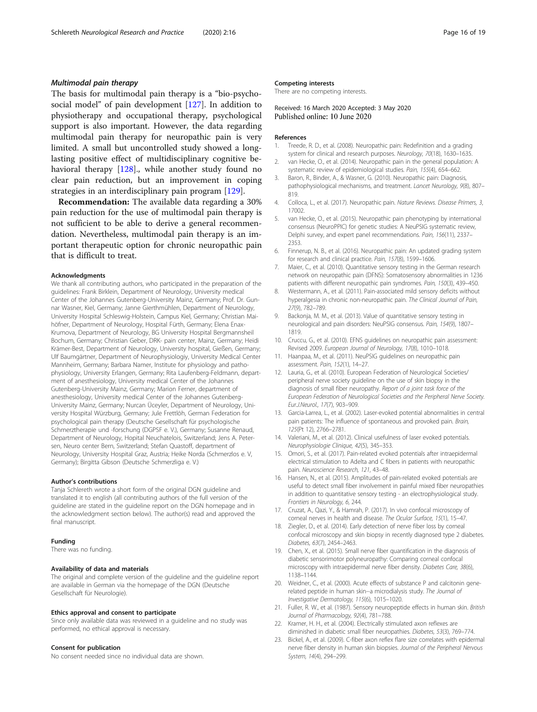#### <span id="page-15-0"></span>Multimodal pain therapy

The basis for multimodal pain therapy is a "bio-psychosocial model" of pain development [[127](#page-18-0)]. In addition to physiotherapy and occupational therapy, psychological support is also important. However, the data regarding multimodal pain therapy for neuropathic pain is very limited. A small but uncontrolled study showed a longlasting positive effect of multidisciplinary cognitive behavioral therapy [\[128\]](#page-18-0)., while another study found no clear pain reduction, but an improvement in coping strategies in an interdisciplinary pain program [[129\]](#page-18-0).

Recommendation: The available data regarding a 30% pain reduction for the use of multimodal pain therapy is not sufficient to be able to derive a general recommendation. Nevertheless, multimodal pain therapy is an important therapeutic option for chronic neuropathic pain that is difficult to treat.

#### Acknowledgments

We thank all contributing authors, who participated in the preparation of the guidelines: Frank Birklein, Department of Neurology, University medical Center of the Johannes Gutenberg-University Mainz, Germany; Prof. Dr. Gunnar Wasner, Kiel, Germany; Janne Gierthmühlen, Department of Neurology, University Hospital Schleswig-Holstein, Campus Kiel, Germany; Christian Maihöfner, Department of Neurology, Hospital Fürth, Germany; Elena Enax-Krumova, Department of Neurology, BG University Hospital Bergmannsheil Bochum, Germany; Christian Geber, DRK- pain center, Mainz, Germany; Heidi Krämer-Best, Department of Neurology, University hospital, Gießen, Germany; Ulf Baumgärtner, Department of Neurophysiologiy, University Medical Center Mannheim, Germany; Barbara Namer, Institute for physiology and pathophysiology, University Erlangen, Germany; Rita Laufenberg-Feldmann, department of anesthesiology, University medical Center of the Johannes Gutenberg-University Mainz, Germany; Marion Ferner, department of anesthesiology, University medical Center of the Johannes Gutenberg-University Mainz, Germany; Nurcan Üceyler, Department of Neurology, University Hospital Würzburg, Germany; Jule Frettlöh, German Federation for psychological pain therapy (Deutsche Gesellschaft für psychologische Schmerztherapie und -forschung (DGPSF e. V.), Germany; Susanne Renaud, Department of Neurology, Hopital Neuchatelois, Switzerland; Jens A. Petersen, Neuro center Bern, Switzerland; Stefan Quastoff, department of Neurology, University Hospital Graz, Austria; Heike Norda (Schmerzlos e. V, Germany); Birgitta Gibson (Deutsche Schmerzliga e. V.)

#### Author's contributions

Tanja Schlereth wrote a short form of the original DGN guideline and translated it to english (all contributing authors of the full version of the guideline are stated in the guideline report on the DGN homepage and in the acknowledgment section below). The author(s) read and approved the final manuscript.

#### Funding

There was no funding.

#### Availability of data and materials

The original and complete version of the guideline and the guideline report are available in German via the homepage of the DGN (Deutsche Gesellschaft für Neurologie).

#### Ethics approval and consent to participate

Since only available data was reviewed in a guideline and no study was performed, no ethical approval is necessary.

#### Consent for publication

No consent needed since no individual data are shown.

#### Competing interests

There are no competing interests.

#### Received: 16 March 2020 Accepted: 3 May 2020 Published online: 10 June 2020

#### References

- 1. Treede, R. D., et al. (2008). Neuropathic pain: Redefinition and a grading system for clinical and research purposes. Neurology, 70(18), 1630–1635.
- 2. van Hecke, O., et al. (2014). Neuropathic pain in the general population: A systematic review of epidemiological studies. Pain, 155(4), 654–662.
- 3. Baron, R., Binder, A., & Wasner, G. (2010). Neuropathic pain: Diagnosis, pathophysiological mechanisms, and treatment. Lancet Neurology, 9(8), 807– 819.
- 4. Colloca, L., et al. (2017). Neuropathic pain. Nature Reviews. Disease Primers, 3, 17002.
- 5. van Hecke, O., et al. (2015). Neuropathic pain phenotyping by international consensus (NeuroPPIC) for genetic studies: A NeuPSIG systematic review, Delphi survey, and expert panel recommendations. Pain, 156(11), 2337– 2353.
- 6. Finnerup, N. B., et al. (2016). Neuropathic pain: An updated grading system for research and clinical practice. Pain, 157(8), 1599–1606.
- 7. Maier, C., et al. (2010). Quantitative sensory testing in the German research network on neuropathic pain (DFNS): Somatosensory abnormalities in 1236 patients with different neuropathic pain syndromes. Pain, 150(3), 439–450.
- 8. Westermann, A., et al. (2011). Pain-associated mild sensory deficits without hyperalgesia in chronic non-neuropathic pain. The Clinical Journal of Pain, 27(9), 782–789.
- 9. Backonja, M. M., et al. (2013). Value of quantitative sensory testing in neurological and pain disorders: NeuPSIG consensus. Pain, 154(9), 1807– 1819.
- 10. Cruccu, G., et al. (2010). EFNS guidelines on neuropathic pain assessment: Revised 2009. European Journal of Neurology, 17(8), 1010–1018.
- 11. Haanpaa, M., et al. (2011). NeuPSIG guidelines on neuropathic pain assessment. Pain, 152(1), 14–27.
- 12. Lauria, G., et al. (2010). European Federation of Neurological Societies/ peripheral nerve society guideline on the use of skin biopsy in the diagnosis of small fiber neuropathy. Report of a joint task force of the European Federation of Neurological Societies and the Peripheral Nerve Society. Eur.J.Neurol., 17(7), 903–909.
- 13. Garcia-Larrea, L., et al. (2002). Laser-evoked potential abnormalities in central pain patients: The influence of spontaneous and provoked pain. Brain, 125(Pt 12), 2766–2781.
- 14. Valeriani, M., et al. (2012). Clinical usefulness of laser evoked potentials. Neurophysiologie Clinique, 42(5), 345–353.
- 15. Omori, S., et al. (2017). Pain-related evoked potentials after intraepidermal electrical stimulation to Adelta and C fibers in patients with neuropathic pain. Neuroscience Research, 121, 43–48.
- 16. Hansen, N., et al. (2015). Amplitudes of pain-related evoked potentials are useful to detect small fiber involvement in painful mixed fiber neuropathies in addition to quantitative sensory testing - an electrophysiological study. Frontiers in Neurology, 6, 244.
- 17. Cruzat, A., Qazi, Y., & Hamrah, P. (2017). In vivo confocal microscopy of corneal nerves in health and disease. The Ocular Surface, 15(1), 15–47.
- 18. Ziegler, D., et al. (2014). Early detection of nerve fiber loss by corneal confocal microscopy and skin biopsy in recently diagnosed type 2 diabetes. Diabetes, 63(7), 2454–2463.
- 19. Chen, X., et al. (2015). Small nerve fiber quantification in the diagnosis of diabetic sensorimotor polyneuropathy: Comparing corneal confocal microscopy with intraepidermal nerve fiber density. Diabetes Care, 38(6), 1138–1144.
- 20. Weidner, C., et al. (2000). Acute effects of substance P and calcitonin generelated peptide in human skin--a microdialysis study. The Journal of Investigative Dermatology, 115(6), 1015–1020.
- 21. Fuller, R. W., et al. (1987). Sensory neuropeptide effects in human skin. British Journal of Pharmacology, 92(4), 781–788.
- 22. Kramer, H. H., et al. (2004). Electrically stimulated axon reflexes are diminished in diabetic small fiber neuropathies. Diabetes, 53(3), 769–774.
- 23. Bickel, A., et al. (2009). C-fiber axon reflex flare size correlates with epidermal nerve fiber density in human skin biopsies. Journal of the Peripheral Nervous System, 14(4), 294–299.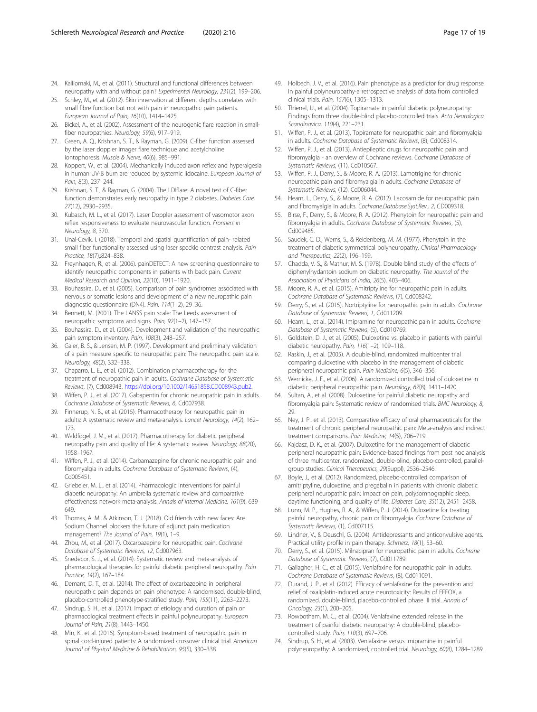- <span id="page-16-0"></span>24. Kalliomaki, M., et al. (2011). Structural and functional differences between neuropathy with and without pain? Experimental Neurology, 231(2), 199–206.
- 25. Schley, M., et al. (2012). Skin innervation at different depths correlates with small fibre function but not with pain in neuropathic pain patients. European Journal of Pain, 16(10), 1414–1425.
- 26. Bickel, A., et al. (2002). Assessment of the neurogenic flare reaction in smallfiber neuropathies. Neurology, 59(6), 917–919.
- 27. Green, A. Q., Krishnan, S. T., & Rayman, G. (2009). C-fiber function assessed by the laser doppler imager flare technique and acetylcholine iontophoresis. Muscle & Nerve, 40(6), 985–991.
- 28. Koppert, W., et al. (2004). Mechanically induced axon reflex and hyperalgesia in human UV-B burn are reduced by systemic lidocaine. European Journal of Pain, 8(3), 237–244.
- 29. Krishnan, S. T., & Rayman, G. (2004). The LDIflare: A novel test of C-fiber function demonstrates early neuropathy in type 2 diabetes. Diabetes Care, 27(12), 2930–2935.
- 30. Kubasch, M. L., et al. (2017). Laser Doppler assessment of vasomotor axon reflex responsiveness to evaluate neurovascular function. Frontiers in Neurology, 8, 370.
- 31. Unal-Cevik, I. (2018). Temporal and spatial quantification of pain- related small fiber functionality assessed using laser speckle contrast analysis. Pain Practice, 18(7),:824–838.
- 32. Freynhagen, R., et al. (2006). painDETECT: A new screening questionnaire to identify neuropathic components in patients with back pain. Current Medical Research and Opinion, 22(10), 1911–1920.
- 33. Bouhassira, D., et al. (2005). Comparison of pain syndromes associated with nervous or somatic lesions and development of a new neuropathic pain diagnostic questionnaire (DN4). Pain, 114(1–2), 29–36.
- 34. Bennett, M. (2001). The LANSS pain scale: The Leeds assessment of neuropathic symptoms and signs. Pain, 92(1–2), 147–157.
- 35. Bouhassira, D., et al. (2004). Development and validation of the neuropathic pain symptom inventory. Pain, 108(3), 248–257.
- 36. Galer, B. S., & Jensen, M. P. (1997). Development and preliminary validation of a pain measure specific to neuropathic pain: The neuropathic pain scale. Neurology, 48(2), 332–338.
- 37. Chaparro, L. E., et al. (2012). Combination pharmacotherapy for the treatment of neuropathic pain in adults. Cochrane Database of Systematic Reviews, (7), Cd008943. [https://doi.org/10.1002/14651858.CD008943.pub2.](https://doi.org/10.1002/14651858.CD008943.pub2)
- 38. Wiffen, P. J., et al. (2017). Gabapentin for chronic neuropathic pain in adults. Cochrane Database of Systematic Reviews, 6, Cd007938.
- 39. Finnerup, N. B., et al. (2015). Pharmacotherapy for neuropathic pain in adults: A systematic review and meta-analysis. Lancet Neurology, 14(2), 162– 173.
- 40. Waldfogel, J. M., et al. (2017). Pharmacotherapy for diabetic peripheral neuropathy pain and quality of life: A systematic review. Neurology, 88(20), 1958–1967.
- 41. Wiffen, P. J., et al. (2014). Carbamazepine for chronic neuropathic pain and fibromyalgia in adults. Cochrane Database of Systematic Reviews, (4), Cd005451.
- 42. Griebeler, M. L., et al. (2014). Pharmacologic interventions for painful diabetic neuropathy: An umbrella systematic review and comparative effectiveness network meta-analysis. Annals of Internal Medicine, 161(9), 639– 649.
- 43. Thomas, A. M., & Atkinson, T. J. (2018). Old friends with new faces: Are Sodium Channel blockers the future of adjunct pain medication management? The Journal of Pain, 19(1), 1-9.
- 44. Zhou, M., et al. (2017). Oxcarbazepine for neuropathic pain. Cochrane Database of Systematic Reviews, 12, Cd007963.
- 45. Snedecor, S. J., et al. (2014). Systematic review and meta-analysis of pharmacological therapies for painful diabetic peripheral neuropathy. Pain Practice, 14(2), 167–184.
- 46. Demant, D. T., et al. (2014). The effect of oxcarbazepine in peripheral neuropathic pain depends on pain phenotype: A randomised, double-blind, placebo-controlled phenotype-stratified study. Pain, 155(11), 2263–2273.
- 47. Sindrup, S. H., et al. (2017). Impact of etiology and duration of pain on pharmacological treatment effects in painful polyneuropathy. European Journal of Pain, 21(8), 1443–1450.
- 48. Min, K., et al. (2016). Symptom-based treatment of neuropathic pain in spinal cord-injured patients: A randomized crossover clinical trial. American Journal of Physical Medicine & Rehabilitation, 95(5), 330–338.
- 49. Holbech, J. V., et al. (2016). Pain phenotype as a predictor for drug response in painful polyneuropathy-a retrospective analysis of data from controlled clinical trials. Pain, 157(6), 1305–1313.
- 50. Thienel, U., et al. (2004). Topiramate in painful diabetic polyneuropathy: Findings from three double-blind placebo-controlled trials. Acta Neurologica Scandinavica, 110(4), 221–231.
- 51. Wiffen, P. J., et al. (2013). Topiramate for neuropathic pain and fibromyalgia in adults. Cochrane Database of Systematic Reviews, (8), Cd008314.
- 52. Wiffen, P. J., et al. (2013). Antiepileptic drugs for neuropathic pain and fibromyalgia - an overview of Cochrane reviews. Cochrane Database of Systematic Reviews, (11), Cd010567.
- 53. Wiffen, P. J., Derry, S., & Moore, R. A. (2013). Lamotrigine for chronic neuropathic pain and fibromyalgia in adults. Cochrane Database of Systematic Reviews, (12), Cd006044.
- 54. Hearn, L., Derry, S., & Moore, R. A. (2012). Lacosamide for neuropathic pain and fibromyalgia in adults. Cochrane.Database.Syst.Rev., 2, CD009318.
- 55. Birse, F., Derry, S., & Moore, R. A. (2012). Phenytoin for neuropathic pain and fibromyalgia in adults. Cochrane Database of Systematic Reviews, (5), Cd009485.
- 56. Saudek, C. D., Werns, S., & Reidenberg, M. M. (1977). Phenytoin in the treatment of diabetic symmetrical polyneuropathy. Clinical Pharmacology and Therapeutics, 22(2), 196–199.
- 57. Chadda, V. S., & Mathur, M. S. (1978). Double blind study of the effects of diphenylhydantoin sodium on diabetic neuropathy. The Journal of the Association of Physicians of India, 26(5), 403–406.
- 58. Moore, R. A., et al. (2015). Amitriptyline for neuropathic pain in adults. Cochrane Database of Systematic Reviews, (7), Cd008242.
- 59. Derry, S., et al. (2015). Nortriptyline for neuropathic pain in adults. Cochrane Database of Systematic Reviews, 1, Cd011209.
- 60. Hearn, L., et al. (2014). Imipramine for neuropathic pain in adults. Cochrane Database of Systematic Reviews, (5), Cd010769.
- 61. Goldstein, D. J., et al. (2005). Duloxetine vs. placebo in patients with painful diabetic neuropathy. Pain, 116(1–2), 109–118.
- 62. Raskin, J., et al. (2005). A double-blind, randomized multicenter trial comparing duloxetine with placebo in the management of diabetic peripheral neuropathic pain. Pain Medicine, 6(5), 346–356.
- 63. Wernicke, J. F., et al. (2006). A randomized controlled trial of duloxetine in diabetic peripheral neuropathic pain. Neurology, 67(8), 1411–1420.
- 64. Sultan, A., et al. (2008). Duloxetine for painful diabetic neuropathy and fibromyalgia pain: Systematic review of randomised trials. BMC Neurology, 8, 29.
- 65. Ney, J. P., et al. (2013). Comparative efficacy of oral pharmaceuticals for the treatment of chronic peripheral neuropathic pain: Meta-analysis and indirect treatment comparisons. Pain Medicine, 14(5), 706–719.
- 66. Kajdasz, D. K., et al. (2007). Duloxetine for the management of diabetic peripheral neuropathic pain: Evidence-based findings from post hoc analysis of three multicenter, randomized, double-blind, placebo-controlled, parallelgroup studies. Clinical Therapeutics, 29(Suppl), 2536–2546.
- 67. Boyle, J., et al. (2012). Randomized, placebo-controlled comparison of amitriptyline, duloxetine, and pregabalin in patients with chronic diabetic peripheral neuropathic pain: Impact on pain, polysomnographic sleep, daytime functioning, and quality of life. Diabetes Care, 35(12), 2451–2458.
- 68. Lunn, M. P., Hughes, R. A., & Wiffen, P. J. (2014). Duloxetine for treating painful neuropathy, chronic pain or fibromyalgia. Cochrane Database of Systematic Reviews, (1), Cd007115.
- 69. Lindner, V., & Deuschl, G. (2004). Antidepressants and anticonvulsive agents. Practical utility profile in pain therapy. Schmerz, 18(1), 53–60.
- 70. Derry, S., et al. (2015). Milnacipran for neuropathic pain in adults. Cochrane Database of Systematic Reviews, (7), Cd011789.
- 71. Gallagher, H. C., et al. (2015). Venlafaxine for neuropathic pain in adults. Cochrane Database of Systematic Reviews, (8), Cd011091.
- 72. Durand, J. P., et al. (2012). Efficacy of venlafaxine for the prevention and relief of oxaliplatin-induced acute neurotoxicity: Results of EFFOX, a randomized, double-blind, placebo-controlled phase III trial. Annals of Oncology, 23(1), 200–205.
- 73. Rowbotham, M. C., et al. (2004). Venlafaxine extended release in the treatment of painful diabetic neuropathy: A double-blind, placebocontrolled study. Pain, 110(3), 697–706.
- 74. Sindrup, S. H., et al. (2003). Venlafaxine versus imipramine in painful polyneuropathy: A randomized, controlled trial. Neurology, 60(8), 1284-1289.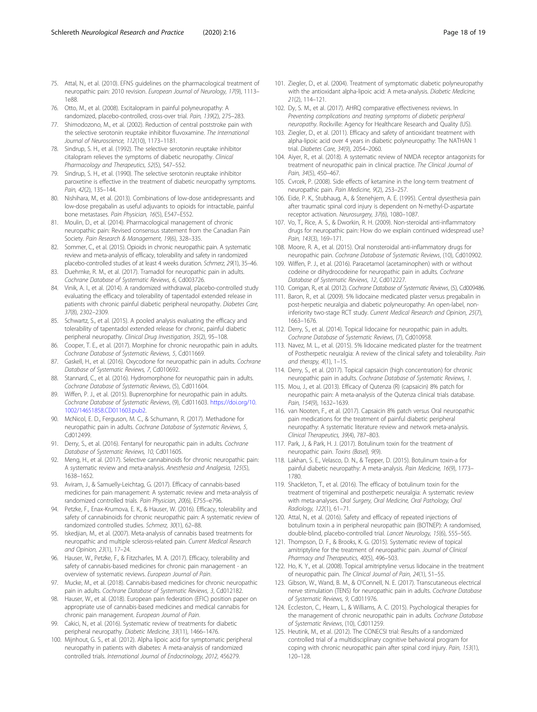- <span id="page-17-0"></span>75. Attal, N., et al. (2010). EFNS guidelines on the pharmacological treatment of neuropathic pain: 2010 revision. European Journal of Neurology, 17(9), 1113– 1e88.
- 76. Otto, M., et al. (2008). Escitalopram in painful polyneuropathy: A randomized, placebo-controlled, cross-over trial. Pain, 139(2), 275–283.
- 77. Shimodozono, M., et al. (2002). Reduction of central poststroke pain with the selective serotonin reuptake inhibitor fluvoxamine. The International Journal of Neuroscience, 112(10), 1173–1181.
- 78. Sindrup, S. H., et al. (1992). The selective serotonin reuptake inhibitor citalopram relieves the symptoms of diabetic neuropathy. Clinical Pharmacology and Therapeutics, 52(5), 547–552.
- 79. Sindrup, S. H., et al. (1990). The selective serotonin reuptake inhibitor paroxetine is effective in the treatment of diabetic neuropathy symptoms. Pain, 42(2), 135–144.
- 80. Nishihara, M., et al. (2013). Combinations of low-dose antidepressants and low-dose pregabalin as useful adjuvants to opioids for intractable, painful bone metastases. Pain Physician, 16(5), E547–E552.
- 81. Moulin, D., et al. (2014). Pharmacological management of chronic neuropathic pain: Revised consensus statement from the Canadian Pain Society. Pain Research & Management, 19(6), 328–335.
- 82. Sommer, C., et al. (2015). Opioids in chronic neuropathic pain. A systematic review and meta-analysis of efficacy, tolerability and safety in randomized placebo-controlled studies of at least 4 weeks duration. Schmerz, 29(1), 35–46.
- 83. Duehmke, R. M., et al. (2017). Tramadol for neuropathic pain in adults. Cochrane Database of Systematic Reviews, 6, Cd003726.
- 84. Vinik, A. I., et al. (2014). A randomized withdrawal, placebo-controlled study evaluating the efficacy and tolerability of tapentadol extended release in patients with chronic painful diabetic peripheral neuropathy. Diabetes Care, 37(8), 2302–2309.
- 85. Schwartz, S., et al. (2015). A pooled analysis evaluating the efficacy and tolerability of tapentadol extended release for chronic, painful diabetic peripheral neuropathy. Clinical Drug Investigation, 35(2), 95-108.
- 86. Cooper, T. E., et al. (2017). Morphine for chronic neuropathic pain in adults. Cochrane Database of Systematic Reviews, 5, Cd011669.
- 87. Gaskell, H., et al. (2016). Oxycodone for neuropathic pain in adults. Cochrane Database of Systematic Reviews, 7, Cd010692.
- 88. Stannard, C., et al. (2016). Hydromorphone for neuropathic pain in adults. Cochrane Database of Systematic Reviews, (5), Cd011604.
- 89. Wiffen, P. J., et al. (2015). Buprenorphine for neuropathic pain in adults. Cochrane Database of Systematic Reviews, (9), Cd011603. [https://doi.org/10.](https://doi.org/10.1002/14651858.CD011603.pub2) [1002/14651858.CD011603.pub2](https://doi.org/10.1002/14651858.CD011603.pub2).
- 90. McNicol, E. D., Ferguson, M. C., & Schumann, R. (2017). Methadone for neuropathic pain in adults. Cochrane Database of Systematic Reviews, 5, Cd012499.
- 91. Derry, S., et al. (2016). Fentanyl for neuropathic pain in adults. Cochrane Database of Systematic Reviews, 10, Cd011605.
- 92. Meng, H., et al. (2017). Selective cannabinoids for chronic neuropathic pain: A systematic review and meta-analysis. Anesthesia and Analgesia, 125(5), 1638–1652.
- 93. Aviram, J., & Samuelly-Leichtag, G. (2017). Efficacy of cannabis-based medicines for pain management: A systematic review and meta-analysis of randomized controlled trials. Pain Physician, 20(6), E755–e796.
- 94. Petzke, F., Enax-Krumova, E. K., & Hauser, W. (2016). Efficacy, tolerability and safety of cannabinoids for chronic neuropathic pain: A systematic review of randomized controlled studies. Schmerz, 30(1), 62–88.
- 95. Iskedjian, M., et al. (2007). Meta-analysis of cannabis based treatments for neuropathic and multiple sclerosis-related pain. Current Medical Research and Opinion, 23(1), 17–24.
- 96. Hauser, W., Petzke, F., & Fitzcharles, M. A. (2017). Efficacy, tolerability and safety of cannabis-based medicines for chronic pain management - an overview of systematic reviews. European Journal of Pain.
- 97. Mucke, M., et al. (2018). Cannabis-based medicines for chronic neuropathic pain in adults. Cochrane Database of Systematic Reviews, 3, Cd012182.
- 98. Hauser, W., et al. (2018). European pain federation (EFIC) position paper on appropriate use of cannabis-based medicines and medical cannabis for chronic pain management. European Journal of Pain.
- 99. Cakici, N., et al. (2016). Systematic review of treatments for diabetic peripheral neuropathy. Diabetic Medicine, 33(11), 1466–1476.
- 100. Mijnhout, G. S., et al. (2012). Alpha lipoic acid for symptomatic peripheral neuropathy in patients with diabetes: A meta-analysis of randomized controlled trials. International Journal of Endocrinology, 2012, 456279.
- 101. Ziegler, D., et al. (2004). Treatment of symptomatic diabetic polyneuropathy with the antioxidant alpha-lipoic acid: A meta-analysis. Diabetic Medicine, 21(2), 114–121.
- 102. Dy, S. M., et al. (2017). AHRQ comparative effectiveness reviews. In Preventing complications and treating symptoms of diabetic peripheral neuropathy. Rockville: Agency for Healthcare Research and Quality (US).
- 103. Ziegler, D., et al. (2011). Efficacy and safety of antioxidant treatment with alpha-lipoic acid over 4 years in diabetic polyneuropathy: The NATHAN 1 trial. Diabetes Care, 34(9), 2054–2060.
- 104. Aiyer, R., et al. (2018). A systematic review of NMDA receptor antagonists for treatment of neuropathic pain in clinical practice. The Clinical Journal of Pain, 34(5), 450–467.
- 105. Cvrcek, P. (2008). Side effects of ketamine in the long-term treatment of neuropathic pain. Pain Medicine, 9(2), 253–257.
- 106. Eide, P. K., Stubhaug, A., & Stenehjem, A. E. (1995). Central dysesthesia pain after traumatic spinal cord injury is dependent on N-methyl-D-aspartate receptor activation. Neurosurgery, 37(6), 1080–1087.
- 107. Vo, T., Rice, A. S., & Dworkin, R. H. (2009). Non-steroidal anti-inflammatory drugs for neuropathic pain: How do we explain continued widespread use? Pain, 143(3), 169–171.
- 108. Moore, R. A., et al. (2015). Oral nonsteroidal anti-inflammatory drugs for neuropathic pain. Cochrane Database of Systematic Reviews, (10), Cd010902.
- 109. Wiffen, P. J., et al. (2016). Paracetamol (acetaminophen) with or without codeine or dihydrocodeine for neuropathic pain in adults. Cochrane Database of Systematic Reviews, 12, Cd012227.
- 110. Corrigan, R., et al. (2012). Cochrane Database of Systematic Reviews, (5), Cd009486.
- 111. Baron, R., et al. (2009). 5% lidocaine medicated plaster versus pregabalin in post-herpetic neuralgia and diabetic polyneuropathy: An open-label, noninferiority two-stage RCT study. Current Medical Research and Opinion, 25(7), 1663–1676.
- 112. Derry, S., et al. (2014). Topical lidocaine for neuropathic pain in adults. Cochrane Database of Systematic Reviews, (7), Cd010958.
- 113. Navez, M. L., et al. (2015). 5% lidocaine medicated plaster for the treatment of Postherpetic neuralgia: A review of the clinical safety and tolerability. Pain and therapy, 4(1), 1–15.
- 114. Derry, S., et al. (2017). Topical capsaicin (high concentration) for chronic neuropathic pain in adults. Cochrane Database of Systematic Reviews, 1.
- 115. Mou, J., et al. (2013). Efficacy of Qutenza (R) (capsaicin) 8% patch for neuropathic pain: A meta-analysis of the Qutenza clinical trials database. Pain, 154(9), 1632-1639.
- 116. van Nooten, F., et al. (2017). Capsaicin 8% patch versus Oral neuropathic pain medications for the treatment of painful diabetic peripheral neuropathy: A systematic literature review and network meta-analysis. Clinical Therapeutics, 39(4), 787–803.
- 117. Park, J., & Park, H. J. (2017). Botulinum toxin for the treatment of neuropathic pain. Toxins (Basel), 9(9).
- 118. Lakhan, S. E., Velasco, D. N., & Tepper, D. (2015). Botulinum toxin-a for painful diabetic neuropathy: A meta-analysis. Pain Medicine, 16(9), 1773– 1780.
- 119. Shackleton, T., et al. (2016). The efficacy of botulinum toxin for the treatment of trigeminal and postherpetic neuralgia: A systematic review with meta-analyses. Oral Surgery, Oral Medicine, Oral Pathology, Oral Radiology, 122(1), 61–71.
- 120. Attal, N., et al. (2016). Safety and efficacy of repeated injections of botulinum toxin a in peripheral neuropathic pain (BOTNEP): A randomised, double-blind, placebo-controlled trial. Lancet Neurology, 15(6), 555–565.
- 121. Thompson, D. F., & Brooks, K. G. (2015). Systematic review of topical amitriptyline for the treatment of neuropathic pain. Journal of Clinical Pharmacy and Therapeutics, 40(5), 496–503.
- 122. Ho, K. Y., et al. (2008). Topical amitriptyline versus lidocaine in the treatment of neuropathic pain. The Clinical Journal of Pain, 24(1), 51–55.
- 123. Gibson, W., Wand, B. M., & O'Connell, N. E. (2017). Transcutaneous electrical nerve stimulation (TENS) for neuropathic pain in adults. Cochrane Database of Systematic Reviews, 9, Cd011976.
- 124. Eccleston, C., Hearn, L., & Williams, A. C. (2015). Psychological therapies for the management of chronic neuropathic pain in adults. Cochrane Database of Systematic Reviews, (10), Cd011259.
- 125. Heutink, M., et al. (2012). The CONECSI trial: Results of a randomized controlled trial of a multidisciplinary cognitive behavioral program for coping with chronic neuropathic pain after spinal cord injury. Pain, 153(1), 120–128.